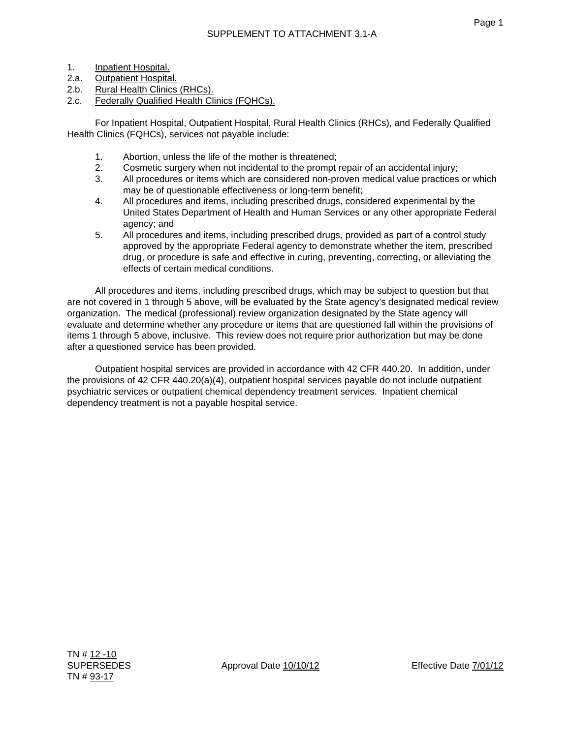- 1. Inpatient Hospital.
- 2.a. Outpatient Hospital.
- 2.b. Rural Health Clinics (RHCs).
- 2.c. Federally Qualified Health Clinics (FQHCs).

 For Inpatient Hospital, Outpatient Hospital, Rural Health Clinics (RHCs), and Federally Qualified Health Clinics (FQHCs), services not payable include:

- 1. Abortion, unless the life of the mother is threatened;
- 2. Cosmetic surgery when not incidental to the prompt repair of an accidental injury;
- 3. All procedures or items which are considered non-proven medical value practices or which may be of questionable effectiveness or long-term benefit;
- 4. All procedures and items, including prescribed drugs, considered experimental by the United States Department of Health and Human Services or any other appropriate Federal agency; and
- 5. All procedures and items, including prescribed drugs, provided as part of a control study approved by the appropriate Federal agency to demonstrate whether the item, prescribed drug, or procedure is safe and effective in curing, preventing, correcting, or alleviating the effects of certain medical conditions.

 All procedures and items, including prescribed drugs, which may be subject to question but that are not covered in 1 through 5 above, will be evaluated by the State agency's designated medical review organization. The medical (professional) review organization designated by the State agency will evaluate and determine whether any procedure or items that are questioned fall within the provisions of items 1 through 5 above, inclusive. This review does not require prior authorization but may be done after a questioned service has been provided.

 Outpatient hospital services are provided in accordance with 42 CFR 440.20. In addition, under the provisions of 42 CFR 440.20(a)(4), outpatient hospital services payable do not include outpatient psychiatric services or outpatient chemical dependency treatment services. Inpatient chemical dependency treatment is not a payable hospital service.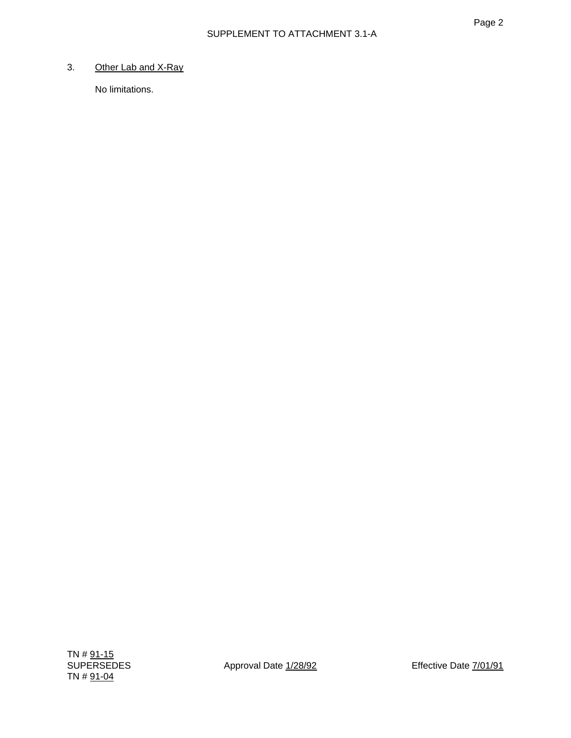# 3. Other Lab and X-Ray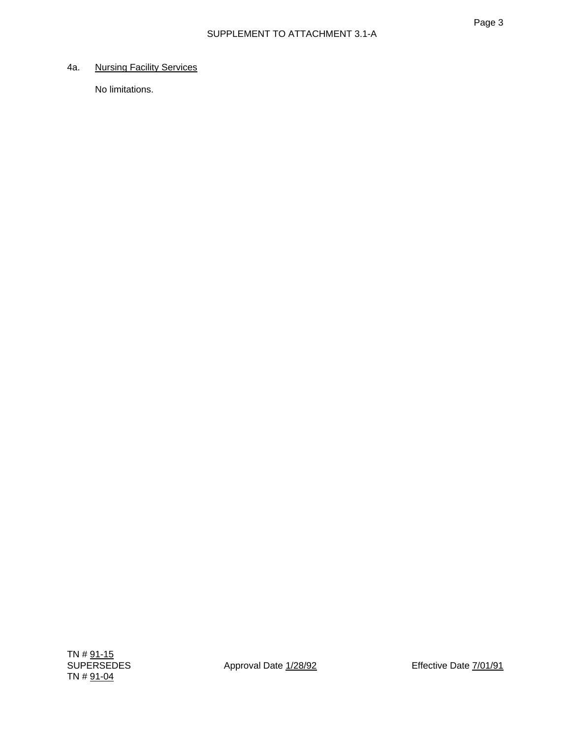## 4a. Nursing Facility Services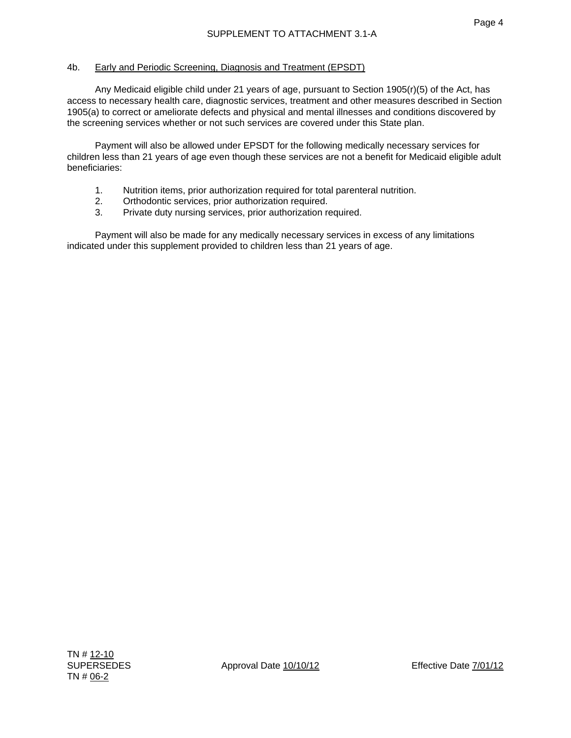## 4b. Early and Periodic Screening, Diagnosis and Treatment (EPSDT)

 Any Medicaid eligible child under 21 years of age, pursuant to Section 1905(r)(5) of the Act, has access to necessary health care, diagnostic services, treatment and other measures described in Section 1905(a) to correct or ameliorate defects and physical and mental illnesses and conditions discovered by the screening services whether or not such services are covered under this State plan.

 Payment will also be allowed under EPSDT for the following medically necessary services for children less than 21 years of age even though these services are not a benefit for Medicaid eligible adult beneficiaries:

- 1. Nutrition items, prior authorization required for total parenteral nutrition.
- 2. Orthodontic services, prior authorization required.
- 3. Private duty nursing services, prior authorization required.

 Payment will also be made for any medically necessary services in excess of any limitations indicated under this supplement provided to children less than 21 years of age.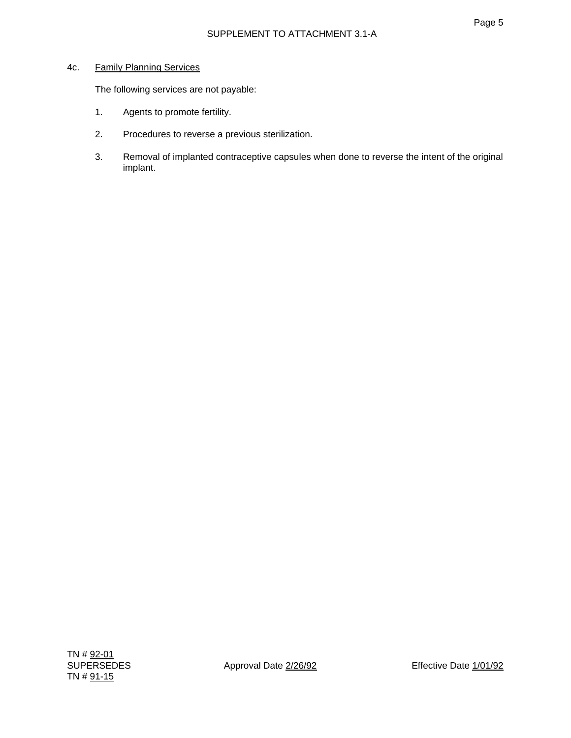### 4c. Family Planning Services

The following services are not payable:

- 1. Agents to promote fertility.
- 2. Procedures to reverse a previous sterilization.
- 3. Removal of implanted contraceptive capsules when done to reverse the intent of the original implant.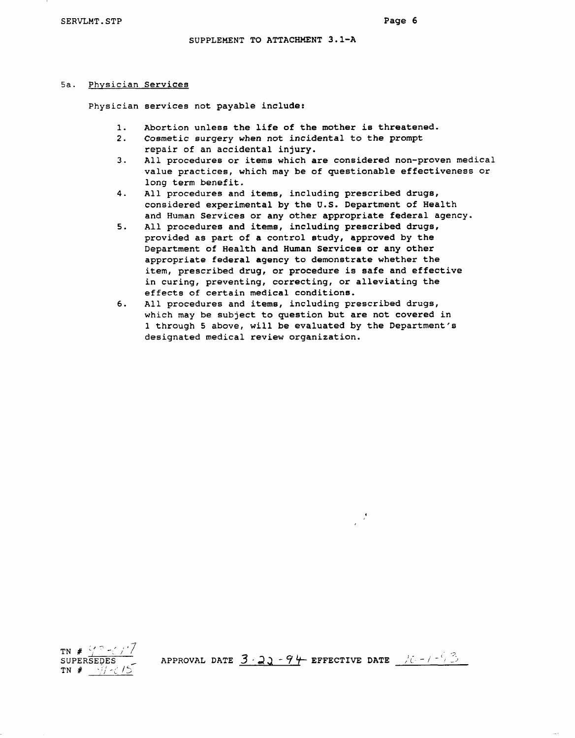**SERVLMT.STP Page 6** 

#### **SUPPLEMENT TO ATTACHMENT 3.1-A**

#### **5a. Physician Services**

**Physician services not payable include:** 

- **1. Abortion unless the life of the mother is threatened.**
- **2. Cosmetic surgery when not incidental to the prompt repair of an accidental injury.**
- **3. All procedures or items which are considered non-proven medical value practices, which may be of questionable effectiveness or long term benefit.**
- **4. All procedures and items, including prescribed drugs, considered experimental by the U.S. Department of Health**  and Human Services or any other appropriate federal agency.
- **5. All procedures and items, including prescribed drugs, provided as part of a control study, approved by the Department of Health and Human Services or any other appropriate federal agency to demonstrate whether the item, prescribed drug, or procedure is safeand effective in curing, preventing, correcting, or alleviating the effects of certain medical conditions.**
- **6. All procedures and items, including prescribed drugs, which may be subject to question but are not covered in 1 through 5 above, will be evaluated by the Department's designated medical review organization.**



APPROVAL DATE  $3\cdot 22 - 94$  EFFECTIVE DATE  $\frac{175 - 123}{12}$ 

 $\mathcal{J}$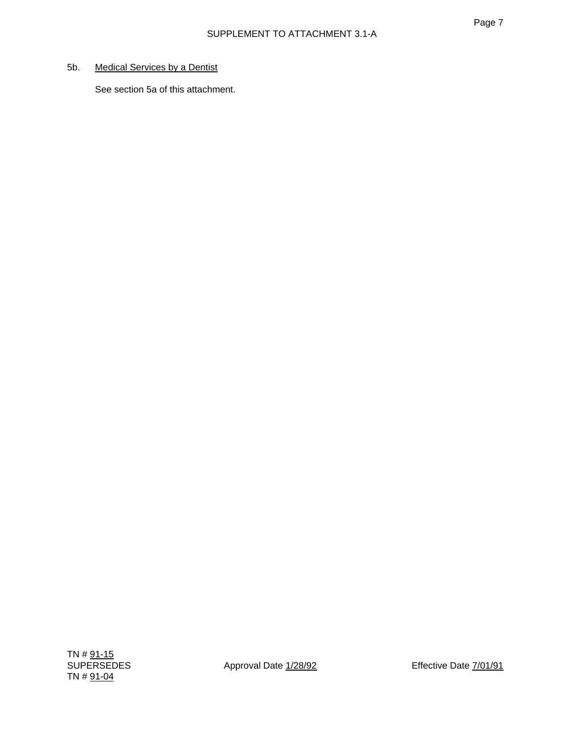# 5b. Medical Services by a Dentist

See section 5a of this attachment.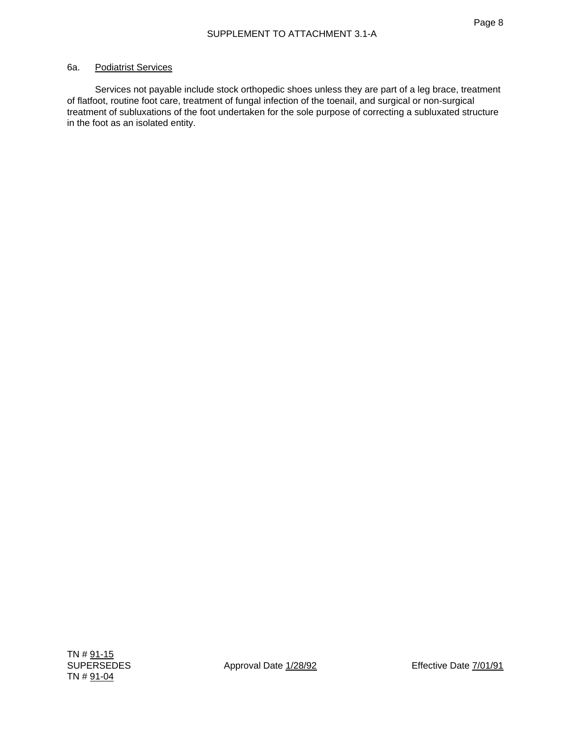### 6a. Podiatrist Services

 Services not payable include stock orthopedic shoes unless they are part of a leg brace, treatment of flatfoot, routine foot care, treatment of fungal infection of the toenail, and surgical or non-surgical treatment of subluxations of the foot undertaken for the sole purpose of correcting a subluxated structure in the foot as an isolated entity.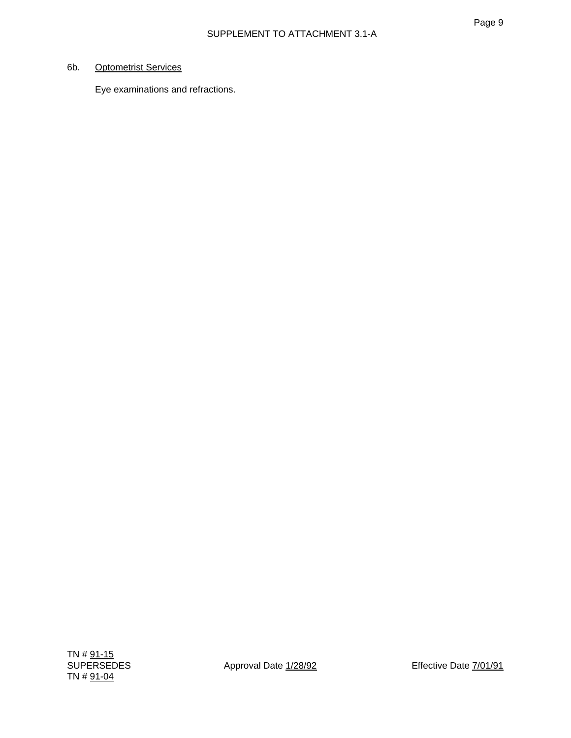# 6b. Optometrist Services

Eye examinations and refractions.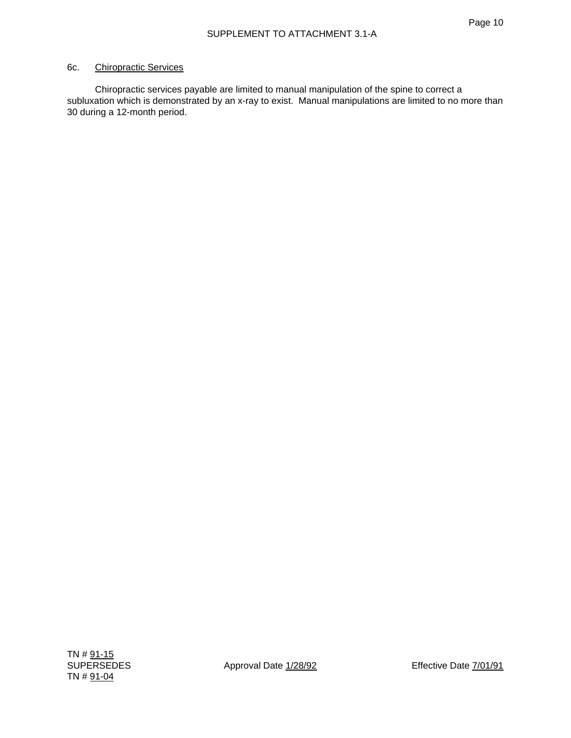#### 6c. Chiropractic Services

 Chiropractic services payable are limited to manual manipulation of the spine to correct a subluxation which is demonstrated by an x-ray to exist. Manual manipulations are limited to no more than 30 during a 12-month period.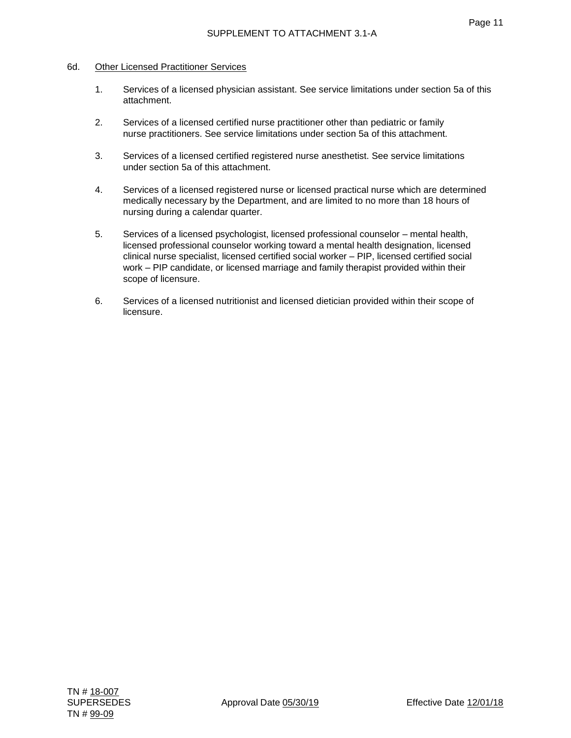#### 6d. Other Licensed Practitioner Services

- 1. Services of a licensed physician assistant. See service limitations under section 5a of this attachment.
- 2. Services of a licensed certified nurse practitioner other than pediatric or family nurse practitioners. See service limitations under section 5a of this attachment.
- 3. Services of a licensed certified registered nurse anesthetist. See service limitations under section 5a of this attachment.
- 4. Services of a licensed registered nurse or licensed practical nurse which are determined medically necessary by the Department, and are limited to no more than 18 hours of nursing during a calendar quarter.
- 5. Services of a licensed psychologist, licensed professional counselor mental health, licensed professional counselor working toward a mental health designation, licensed clinical nurse specialist, licensed certified social worker – PIP, licensed certified social work – PIP candidate, or licensed marriage and family therapist provided within their scope of licensure.
- 6. Services of a licensed nutritionist and licensed dietician provided within their scope of licensure.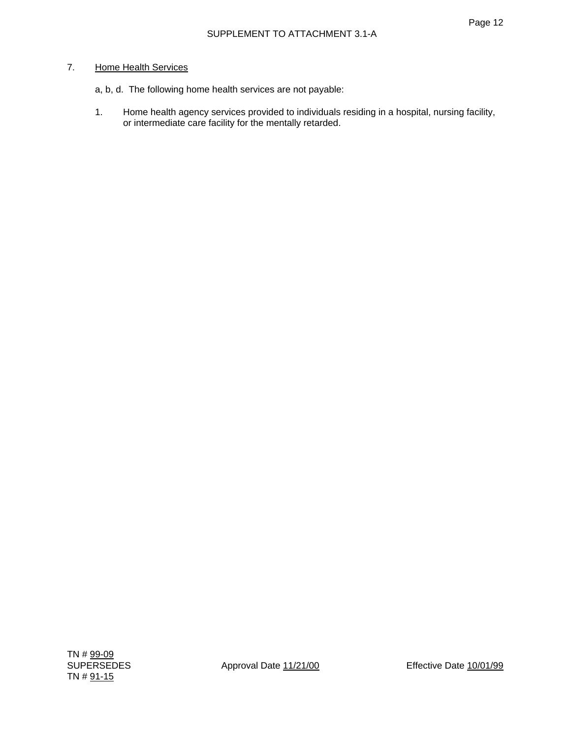## 7. Home Health Services

- a, b, d. The following home health services are not payable:
- 1. Home health agency services provided to individuals residing in a hospital, nursing facility, or intermediate care facility for the mentally retarded.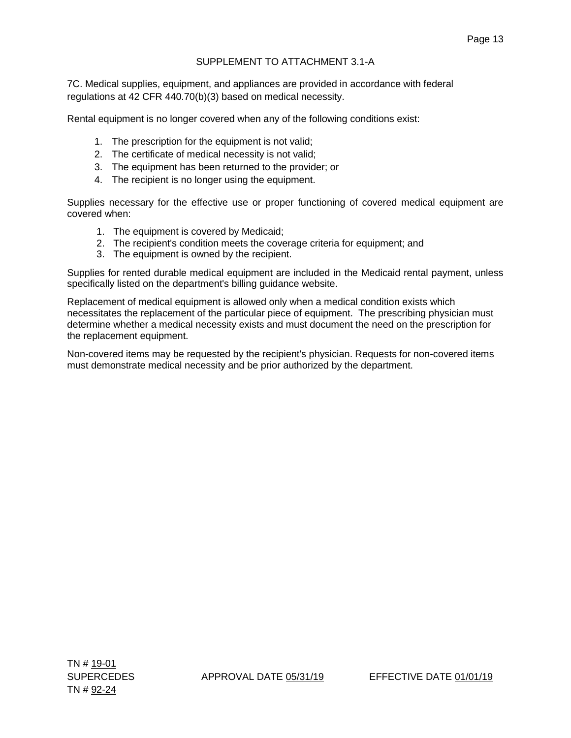# SUPPLEMENT TO ATTACHMENT 3.1-A

7C. Medical supplies, equipment, and appliances are provided in accordance with federal regulations at 42 CFR 440.70(b)(3) based on medical necessity.

Rental equipment is no longer covered when any of the following conditions exist:

- 1. The prescription for the equipment is not valid;
- 2. The certificate of medical necessity is not valid;
- 3. The equipment has been returned to the provider; or
- 4. The recipient is no longer using the equipment.

Supplies necessary for the effective use or proper functioning of covered medical equipment are covered when:

- 1. The equipment is covered by Medicaid;
- 2. The recipient's condition meets the coverage criteria for equipment; and
- 3. The equipment is owned by the recipient.

Supplies for rented durable medical equipment are included in the Medicaid rental payment, unless specifically listed on the department's billing guidance website.

Replacement of medical equipment is allowed only when a medical condition exists which necessitates the replacement of the particular piece of equipment. The prescribing physician must determine whether a medical necessity exists and must document the need on the prescription for the replacement equipment.

Non-covered items may be requested by the recipient's physician. Requests for non-covered items must demonstrate medical necessity and be prior authorized by the department.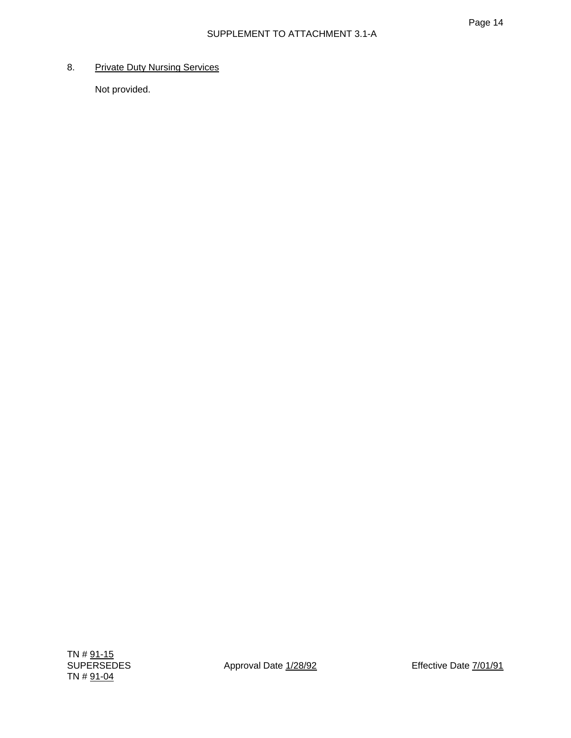# 8. Private Duty Nursing Services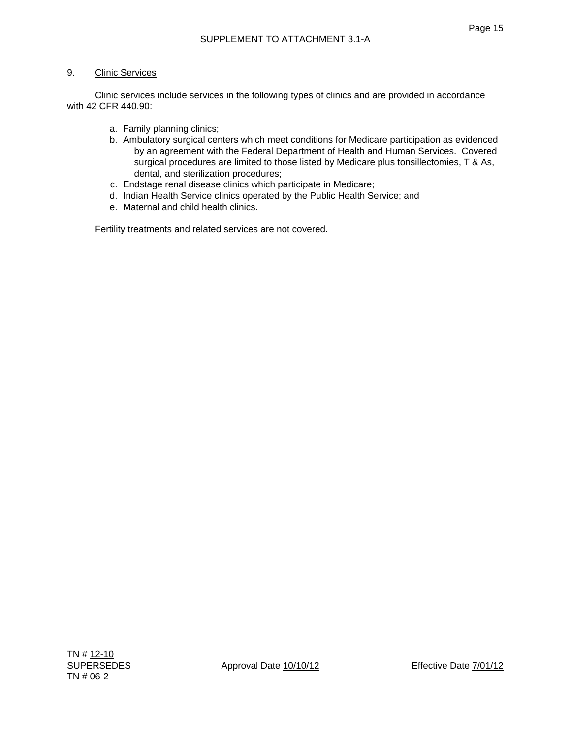Clinic services include services in the following types of clinics and are provided in accordance with 42 CFR 440.90:

- a. Family planning clinics;
- b. Ambulatory surgical centers which meet conditions for Medicare participation as evidenced by an agreement with the Federal Department of Health and Human Services. Covered surgical procedures are limited to those listed by Medicare plus tonsillectomies, T & As, dental, and sterilization procedures;
- c. Endstage renal disease clinics which participate in Medicare;
- d. Indian Health Service clinics operated by the Public Health Service; and
- e. Maternal and child health clinics.

Fertility treatments and related services are not covered.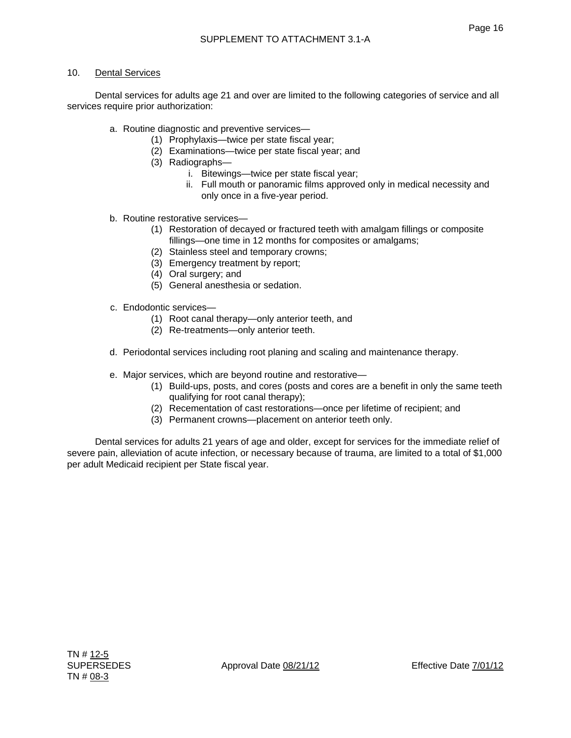## 10. Dental Services

 Dental services for adults age 21 and over are limited to the following categories of service and all services require prior authorization:

- a. Routine diagnostic and preventive services—
	- (1) Prophylaxis—twice per state fiscal year;
	- (2) Examinations—twice per state fiscal year; and
	- (3) Radiographs
		- i. Bitewings—twice per state fiscal year;
		- ii. Full mouth or panoramic films approved only in medical necessity and only once in a five-year period.
- b. Routine restorative services—
	- (1) Restoration of decayed or fractured teeth with amalgam fillings or composite fillings—one time in 12 months for composites or amalgams;
	- (2) Stainless steel and temporary crowns;
	- (3) Emergency treatment by report;
	- (4) Oral surgery; and
	- (5) General anesthesia or sedation.
- c. Endodontic services—
	- (1) Root canal therapy—only anterior teeth, and
	- (2) Re-treatments—only anterior teeth.
- d. Periodontal services including root planing and scaling and maintenance therapy.
- e. Major services, which are beyond routine and restorative—
	- (1) Build-ups, posts, and cores (posts and cores are a benefit in only the same teeth qualifying for root canal therapy);
	- (2) Recementation of cast restorations—once per lifetime of recipient; and
	- (3) Permanent crowns—placement on anterior teeth only.

 Dental services for adults 21 years of age and older, except for services for the immediate relief of severe pain, alleviation of acute infection, or necessary because of trauma, are limited to a total of \$1,000 per adult Medicaid recipient per State fiscal year.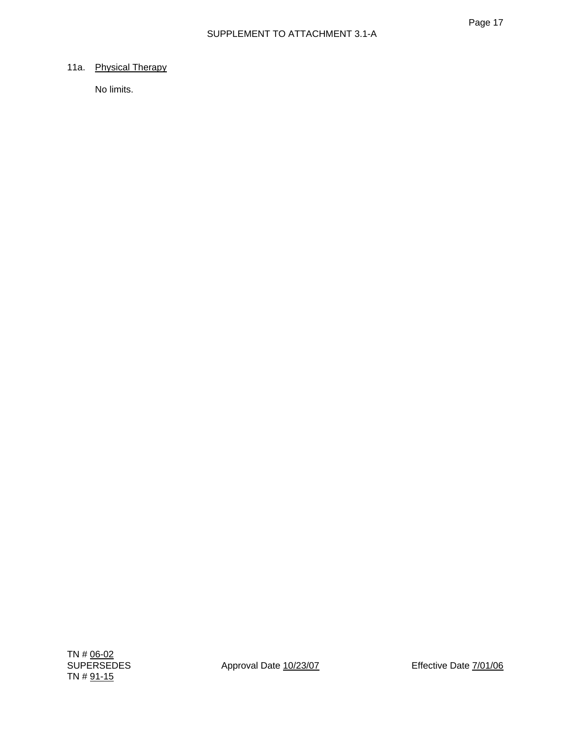## 11a. Physical Therapy

No limits.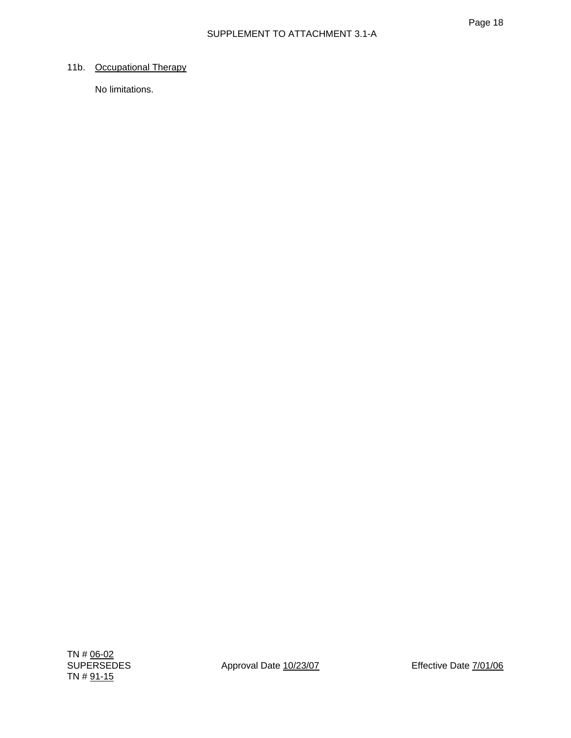## 11b. Occupational Therapy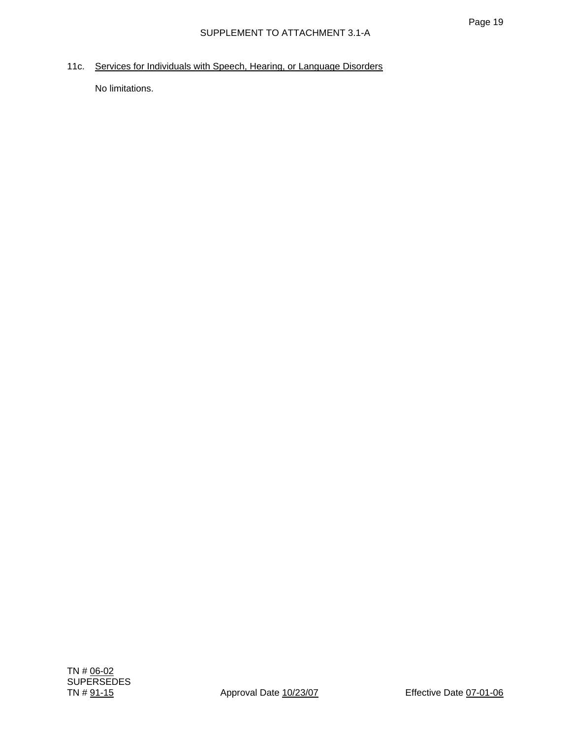11c. Services for Individuals with Speech, Hearing, or Language Disorders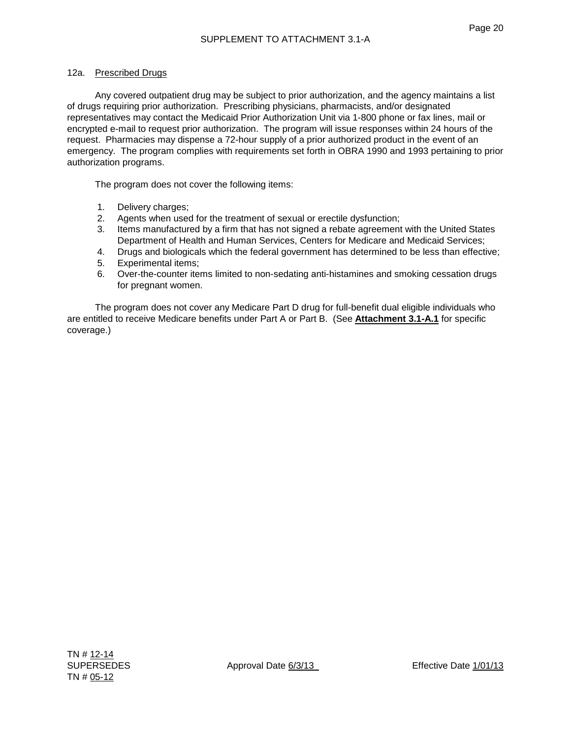## 12a. Prescribed Drugs

Any covered outpatient drug may be subject to prior authorization, and the agency maintains a list of drugs requiring prior authorization. Prescribing physicians, pharmacists, and/or designated representatives may contact the Medicaid Prior Authorization Unit via 1-800 phone or fax lines, mail or encrypted e-mail to request prior authorization. The program will issue responses within 24 hours of the request. Pharmacies may dispense a 72-hour supply of a prior authorized product in the event of an emergency. The program complies with requirements set forth in OBRA 1990 and 1993 pertaining to prior authorization programs.

The program does not cover the following items:

- 1. Delivery charges;
- 2. Agents when used for the treatment of sexual or erectile dysfunction;
- 3. Items manufactured by a firm that has not signed a rebate agreement with the United States Department of Health and Human Services, Centers for Medicare and Medicaid Services;
- 4. Drugs and biologicals which the federal government has determined to be less than effective;
- 5. Experimental items;
- 6. Over-the-counter items limited to non-sedating anti-histamines and smoking cessation drugs for pregnant women.

The program does not cover any Medicare Part D drug for full-benefit dual eligible individuals who are entitled to receive Medicare benefits under Part A or Part B. (See **Attachment 3.1-A.1** for specific coverage.)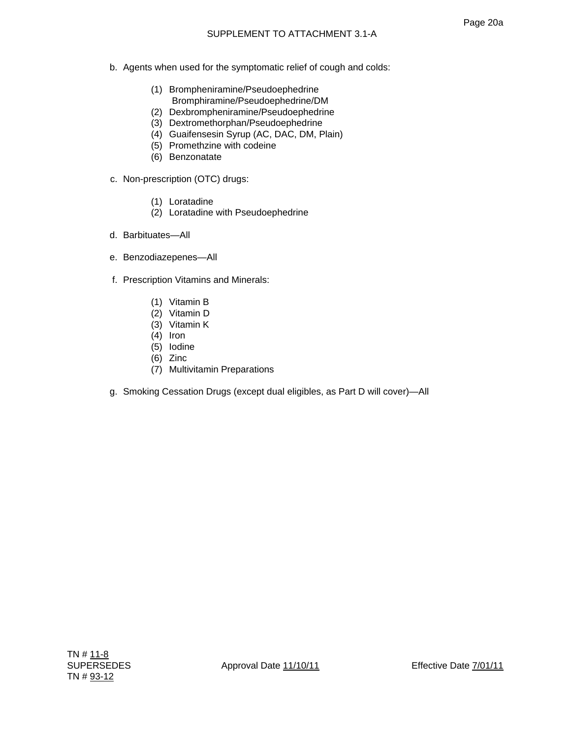- b. Agents when used for the symptomatic relief of cough and colds:
	- (1) Brompheniramine/Pseudoephedrine Bromphiramine/Pseudoephedrine/DM
	- (2) Dexbrompheniramine/Pseudoephedrine
	- (3) Dextromethorphan/Pseudoephedrine
	- (4) Guaifensesin Syrup (AC, DAC, DM, Plain)
	- (5) Promethzine with codeine
	- (6) Benzonatate
- c. Non-prescription (OTC) drugs:
	- (1) Loratadine
	- (2) Loratadine with Pseudoephedrine
- d. Barbituates—All
- e. Benzodiazepenes—All
- f. Prescription Vitamins and Minerals:
	- (1) Vitamin B
	- (2) Vitamin D
	- (3) Vitamin K
	- (4) Iron
	- (5) Iodine
	- (6) Zinc
	- (7) Multivitamin Preparations
- g. Smoking Cessation Drugs (except dual eligibles, as Part D will cover)—All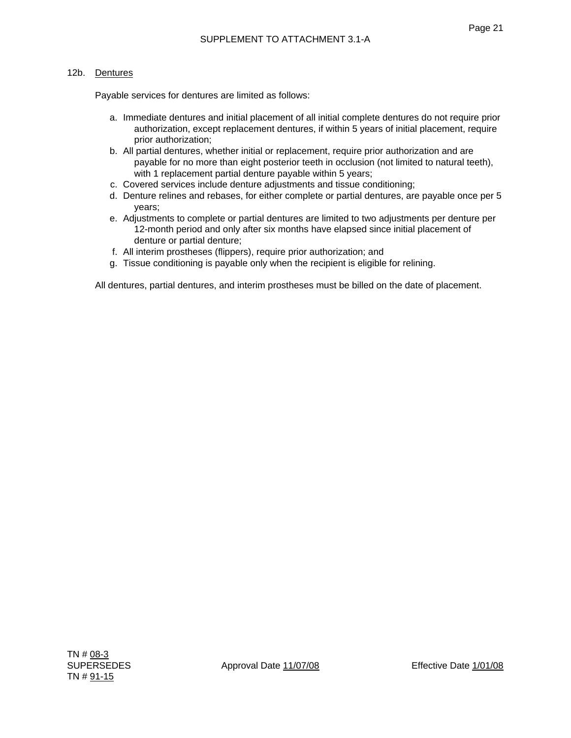## 12b. Dentures

Payable services for dentures are limited as follows:

- a. Immediate dentures and initial placement of all initial complete dentures do not require prior authorization, except replacement dentures, if within 5 years of initial placement, require prior authorization;
- b. All partial dentures, whether initial or replacement, require prior authorization and are payable for no more than eight posterior teeth in occlusion (not limited to natural teeth), with 1 replacement partial denture payable within 5 years;
- c. Covered services include denture adjustments and tissue conditioning;
- d. Denture relines and rebases, for either complete or partial dentures, are payable once per 5 years;
- e. Adjustments to complete or partial dentures are limited to two adjustments per denture per 12-month period and only after six months have elapsed since initial placement of denture or partial denture;
- f. All interim prostheses (flippers), require prior authorization; and
- g. Tissue conditioning is payable only when the recipient is eligible for relining.

All dentures, partial dentures, and interim prostheses must be billed on the date of placement.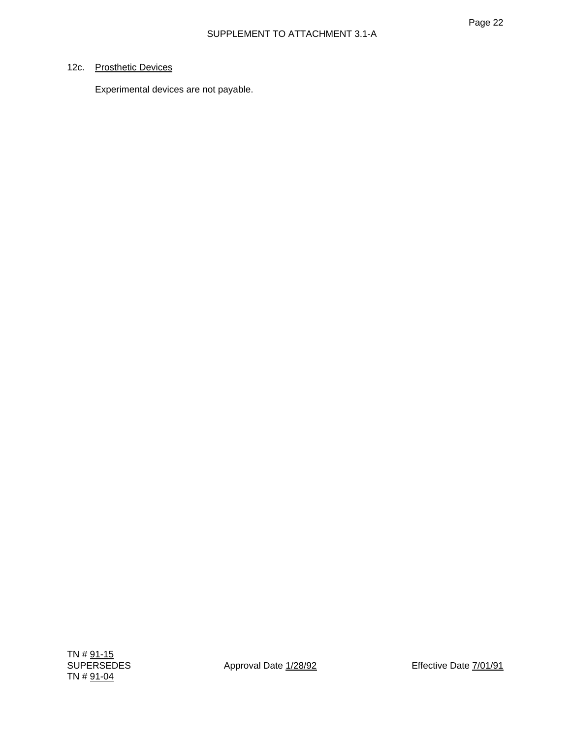## 12c. Prosthetic Devices

Experimental devices are not payable.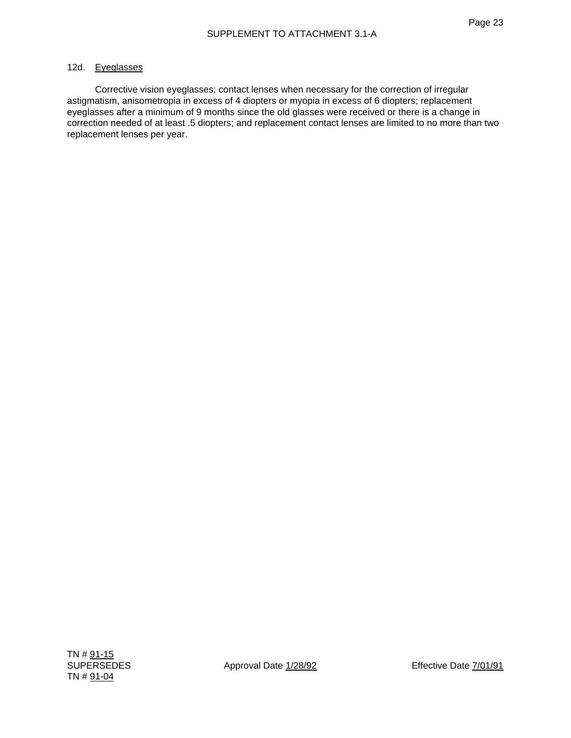#### 12d. Eyeglasses

 Corrective vision eyeglasses; contact lenses when necessary for the correction of irregular astigmatism, anisometropia in excess of 4 diopters or myopia in excess of 6 diopters; replacement eyeglasses after a minimum of 9 months since the old glasses were received or there is a change in correction needed of at least .5 diopters; and replacement contact lenses are limited to no more than two replacement lenses per year.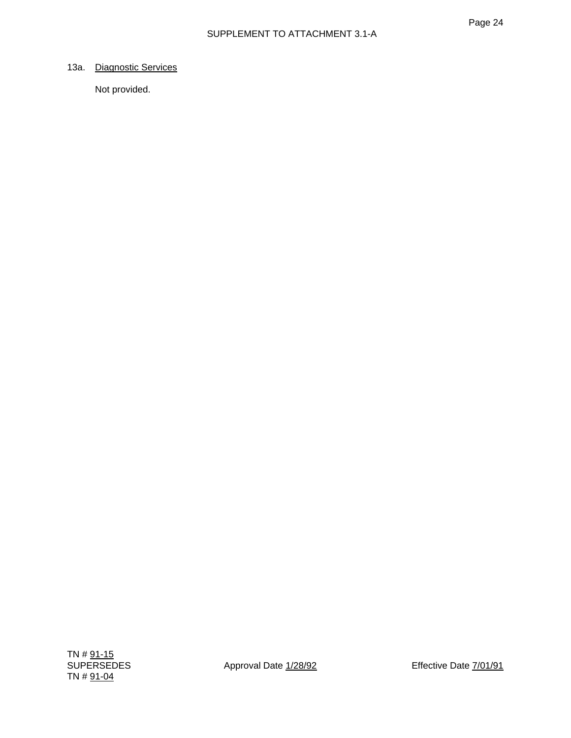## 13a. Diagnostic Services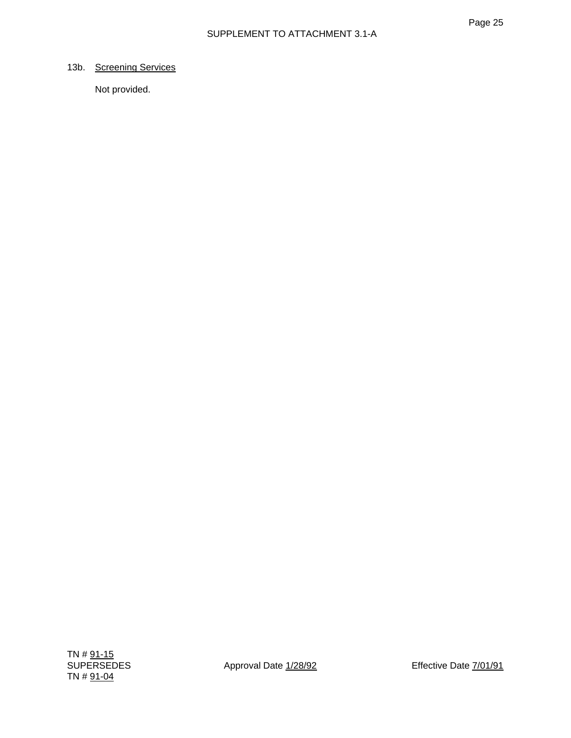## 13b. Screening Services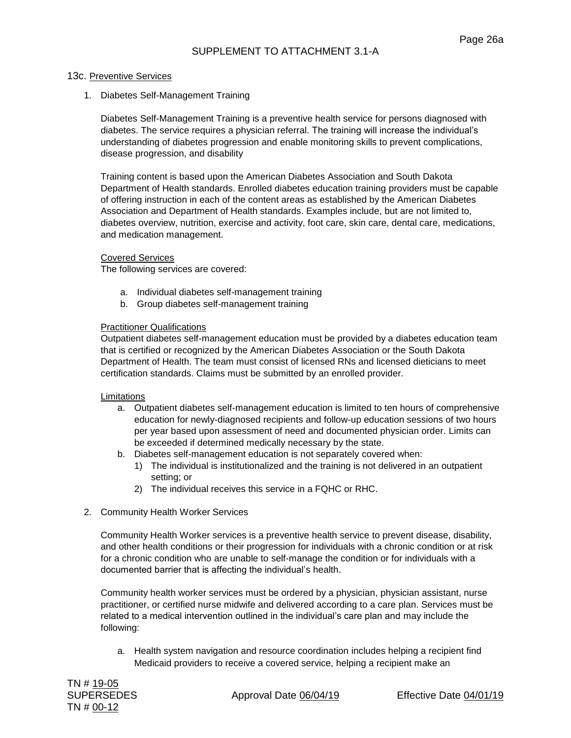#### 13c. Preventive Services

1. Diabetes Self-Management Training

Diabetes Self-Management Training is a preventive health service for persons diagnosed with diabetes. The service requires a physician referral. The training will increase the individual's understanding of diabetes progression and enable monitoring skills to prevent complications, disease progression, and disability

Training content is based upon the American Diabetes Association and South Dakota Department of Health standards. Enrolled diabetes education training providers must be capable of offering instruction in each of the content areas as established by the American Diabetes Association and Department of Health standards. Examples include, but are not limited to, diabetes overview, nutrition, exercise and activity, foot care, skin care, dental care, medications, and medication management.

#### Covered Services

The following services are covered:

- a. Individual diabetes self-management training
- b. Group diabetes self-management training

#### Practitioner Qualifications

Outpatient diabetes self-management education must be provided by a diabetes education team that is certified or recognized by the American Diabetes Association or the South Dakota Department of Health. The team must consist of licensed RNs and licensed dieticians to meet certification standards. Claims must be submitted by an enrolled provider.

#### **Limitations**

- a. Outpatient diabetes self-management education is limited to ten hours of comprehensive education for newly-diagnosed recipients and follow-up education sessions of two hours per year based upon assessment of need and documented physician order. Limits can be exceeded if determined medically necessary by the state.
- b. Diabetes self-management education is not separately covered when:
	- 1) The individual is institutionalized and the training is not delivered in an outpatient setting; or
	- 2) The individual receives this service in a FQHC or RHC.
- 2. Community Health Worker Services

Community Health Worker services is a preventive health service to prevent disease, disability, and other health conditions or their progression for individuals with a chronic condition or at risk for a chronic condition who are unable to self-manage the condition or for individuals with a documented barrier that is affecting the individual's health.

Community health worker services must be ordered by a physician, physician assistant, nurse practitioner, or certified nurse midwife and delivered according to a care plan. Services must be related to a medical intervention outlined in the individual's care plan and may include the following:

a. Health system navigation and resource coordination includes helping a recipient find Medicaid providers to receive a covered service, helping a recipient make an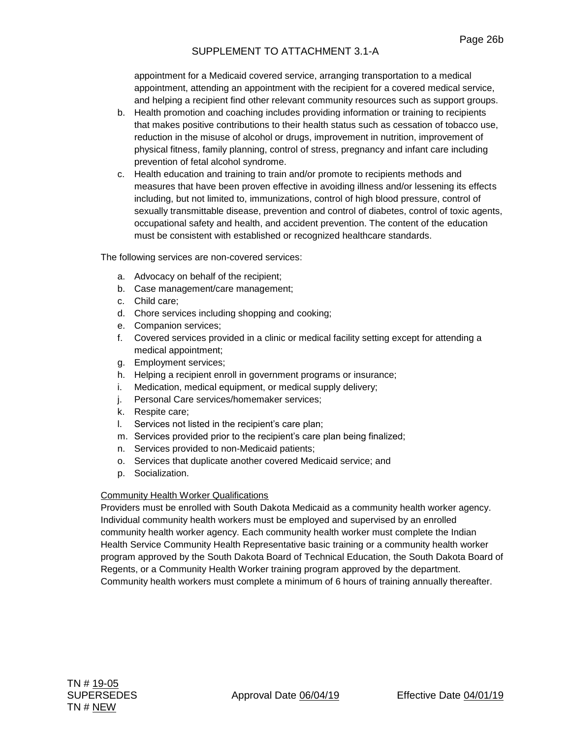# SUPPLEMENT TO ATTACHMENT 3.1-A

appointment for a Medicaid covered service, arranging transportation to a medical appointment, attending an appointment with the recipient for a covered medical service, and helping a recipient find other relevant community resources such as support groups.

- b. Health promotion and coaching includes providing information or training to recipients that makes positive contributions to their health status such as cessation of tobacco use, reduction in the misuse of alcohol or drugs, improvement in nutrition, improvement of physical fitness, family planning, control of stress, pregnancy and infant care including prevention of fetal alcohol syndrome.
- c. Health education and training to train and/or promote to recipients methods and measures that have been proven effective in avoiding illness and/or lessening its effects including, but not limited to, immunizations, control of high blood pressure, control of sexually transmittable disease, prevention and control of diabetes, control of toxic agents, occupational safety and health, and accident prevention. The content of the education must be consistent with established or recognized healthcare standards.

The following services are non-covered services:

- a. Advocacy on behalf of the recipient;
- b. Case management/care management;
- c. Child care;
- d. Chore services including shopping and cooking;
- e. Companion services;
- f. Covered services provided in a clinic or medical facility setting except for attending a medical appointment;
- g. Employment services;
- h. Helping a recipient enroll in government programs or insurance;
- i. Medication, medical equipment, or medical supply delivery;
- j. Personal Care services/homemaker services;
- k. Respite care;
- l. Services not listed in the recipient's care plan;
- m. Services provided prior to the recipient's care plan being finalized;
- n. Services provided to non-Medicaid patients;
- o. Services that duplicate another covered Medicaid service; and
- p. Socialization.

## Community Health Worker Qualifications

Providers must be enrolled with South Dakota Medicaid as a community health worker agency. Individual community health workers must be employed and supervised by an enrolled community health worker agency. Each community health worker must complete the Indian Health Service Community Health Representative basic training or a community health worker program approved by the South Dakota Board of Technical Education, the South Dakota Board of Regents, or a Community Health Worker training program approved by the department. Community health workers must complete a minimum of 6 hours of training annually thereafter.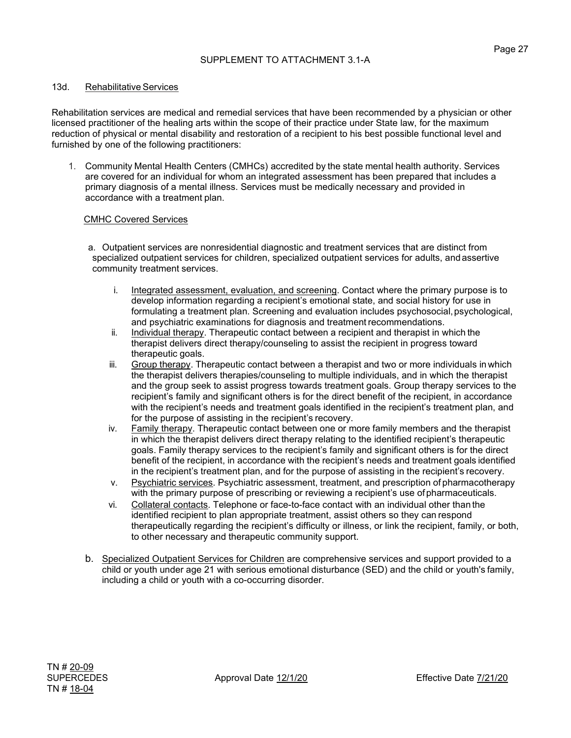### 13d. Rehabilitative Services

Rehabilitation services are medical and remedial services that have been recommended by a physician or other licensed practitioner of the healing arts within the scope of their practice under State law, for the maximum reduction of physical or mental disability and restoration of a recipient to his best possible functional level and furnished by one of the following practitioners:

1. Community Mental Health Centers (CMHCs) accredited by the state mental health authority. Services are covered for an individual for whom an integrated assessment has been prepared that includes a primary diagnosis of a mental illness. Services must be medically necessary and provided in accordance with a treatment plan.

### CMHC Covered Services

a. Outpatient services are nonresidential diagnostic and treatment services that are distinct from specialized outpatient services for children, specialized outpatient services for adults, andassertive community treatment services.

- i. Integrated assessment, evaluation, and screening. Contact where the primary purpose is to develop information regarding a recipient's emotional state, and social history for use in formulating a treatment plan. Screening and evaluation includes psychosocial, psychological, and psychiatric examinations for diagnosis and treatment recommendations.
- ii. Individual therapy. Therapeutic contact between a recipient and therapist in which the therapist delivers direct therapy/counseling to assist the recipient in progress toward therapeutic goals.
- iii. Group therapy. Therapeutic contact between a therapist and two or more individuals in which the therapist delivers therapies/counseling to multiple individuals, and in which the therapist and the group seek to assist progress towards treatment goals. Group therapy services to the recipient's family and significant others is for the direct benefit of the recipient, in accordance with the recipient's needs and treatment goals identified in the recipient's treatment plan, and for the purpose of assisting in the recipient's recovery.
- iv. Family therapy. Therapeutic contact between one or more family members and the therapist in which the therapist delivers direct therapy relating to the identified recipient's therapeutic goals. Family therapy services to the recipient's family and significant others is for the direct benefit of the recipient, in accordance with the recipient's needs and treatment goals identified in the recipient's treatment plan, and for the purpose of assisting in the recipient's recovery.
- v. Psychiatric services. Psychiatric assessment, treatment, and prescription of pharmacotherapy with the primary purpose of prescribing or reviewing a recipient's use ofpharmaceuticals.
- vi. Collateral contacts. Telephone or face-to-face contact with an individual other than the identified recipient to plan appropriate treatment, assist others so they can respond therapeutically regarding the recipient's difficulty or illness, or link the recipient, family, or both, to other necessary and therapeutic community support.
- b. Specialized Outpatient Services for Children are comprehensive services and support provided to a child or youth under age 21 with serious emotional disturbance (SED) and the child or youth's family, including a child or youth with a co-occurring disorder.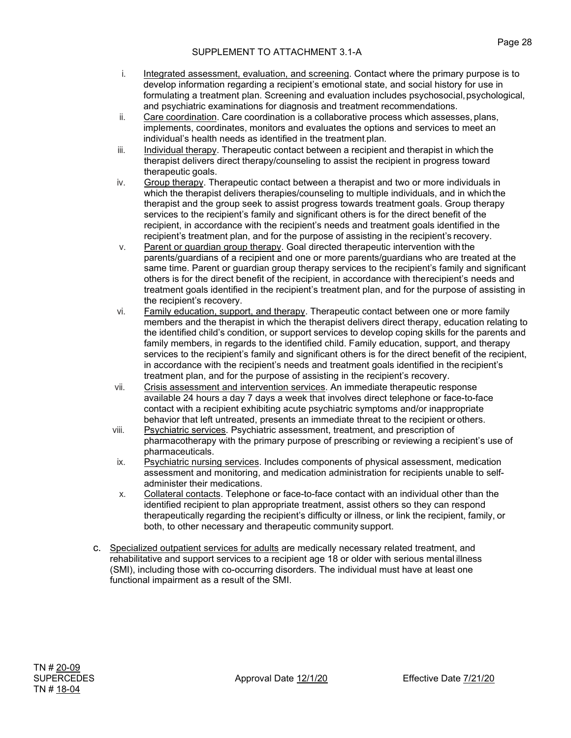- i. Integrated assessment, evaluation, and screening. Contact where the primary purpose is to develop information regarding a recipient's emotional state, and social history for use in formulating a treatment plan. Screening and evaluation includes psychosocial, psychological, and psychiatric examinations for diagnosis and treatment recommendations.
- ii. Care coordination. Care coordination is a collaborative process which assesses, plans, implements, coordinates, monitors and evaluates the options and services to meet an individual's health needs as identified in the treatment plan.
- iii. Individual therapy. Therapeutic contact between a recipient and therapist in which the therapist delivers direct therapy/counseling to assist the recipient in progress toward therapeutic goals.
- iv. Group therapy. Therapeutic contact between a therapist and two or more individuals in which the therapist delivers therapies/counseling to multiple individuals, and in which the therapist and the group seek to assist progress towards treatment goals. Group therapy services to the recipient's family and significant others is for the direct benefit of the recipient, in accordance with the recipient's needs and treatment goals identified in the recipient's treatment plan, and for the purpose of assisting in the recipient's recovery.
- v. Parent or guardian group therapy. Goal directed therapeutic intervention with the parents/guardians of a recipient and one or more parents/guardians who are treated at the same time. Parent or guardian group therapy services to the recipient's family and significant others is for the direct benefit of the recipient, in accordance with therecipient's needs and treatment goals identified in the recipient's treatment plan, and for the purpose of assisting in the recipient's recovery.
- vi. Family education, support, and therapy. Therapeutic contact between one or more family members and the therapist in which the therapist delivers direct therapy, education relating to the identified child's condition, or support services to develop coping skills for the parents and family members, in regards to the identified child. Family education, support, and therapy services to the recipient's family and significant others is for the direct benefit of the recipient, in accordance with the recipient's needs and treatment goals identified in the recipient's treatment plan, and for the purpose of assisting in the recipient's recovery.
- vii. Crisis assessment and intervention services. An immediate therapeutic response available 24 hours a day 7 days a week that involves direct telephone or face-to-face contact with a recipient exhibiting acute psychiatric symptoms and/or inappropriate behavior that left untreated, presents an immediate threat to the recipient or others.
- viii. Psychiatric services. Psychiatric assessment, treatment, and prescription of pharmacotherapy with the primary purpose of prescribing or reviewing a recipient's use of pharmaceuticals.
- ix. Psychiatric nursing services. Includes components of physical assessment, medication assessment and monitoring, and medication administration for recipients unable to selfadminister their medications.
- x. Collateral contacts. Telephone or face-to-face contact with an individual other than the identified recipient to plan appropriate treatment, assist others so they can respond therapeutically regarding the recipient's difficulty or illness, or link the recipient, family, or both, to other necessary and therapeutic community support.
- c. Specialized outpatient services for adults are medically necessary related treatment, and rehabilitative and support services to a recipient age 18 or older with serious mental illness (SMI), including those with co-occurring disorders. The individual must have at least one functional impairment as a result of the SMI.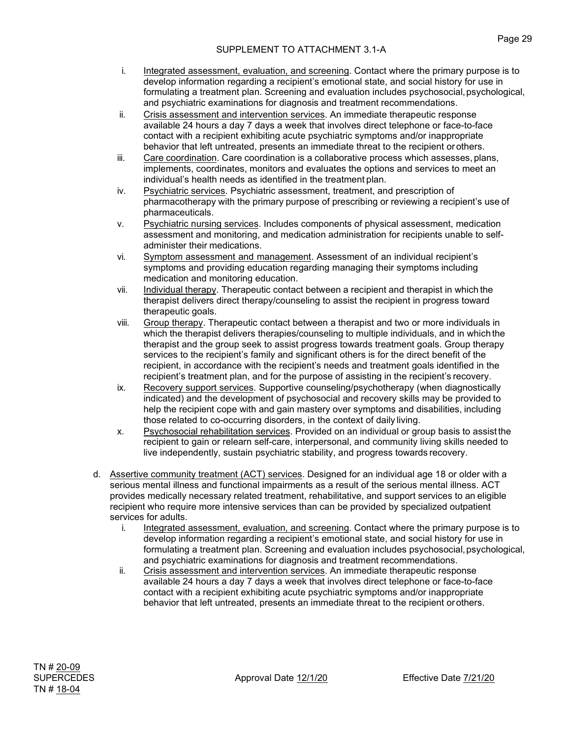- i. Integrated assessment, evaluation, and screening. Contact where the primary purpose is to develop information regarding a recipient's emotional state, and social history for use in formulating a treatment plan. Screening and evaluation includes psychosocial, psychological, and psychiatric examinations for diagnosis and treatment recommendations.
- ii. Crisis assessment and intervention services. An immediate therapeutic response available 24 hours a day 7 days a week that involves direct telephone or face-to-face contact with a recipient exhibiting acute psychiatric symptoms and/or inappropriate behavior that left untreated, presents an immediate threat to the recipient or others.
- iii. Care coordination. Care coordination is a collaborative process which assesses, plans, implements, coordinates, monitors and evaluates the options and services to meet an individual's health needs as identified in the treatment plan.
- iv. Psychiatric services. Psychiatric assessment, treatment, and prescription of pharmacotherapy with the primary purpose of prescribing or reviewing a recipient's use of pharmaceuticals.
- v. Psychiatric nursing services. Includes components of physical assessment, medication assessment and monitoring, and medication administration for recipients unable to selfadminister their medications.
- vi. Symptom assessment and management. Assessment of an individual recipient's symptoms and providing education regarding managing their symptoms including medication and monitoring education.
- vii. Individual therapy. Therapeutic contact between a recipient and therapist in which the therapist delivers direct therapy/counseling to assist the recipient in progress toward therapeutic goals.
- viii. Group therapy. Therapeutic contact between a therapist and two or more individuals in which the therapist delivers therapies/counseling to multiple individuals, and in which the therapist and the group seek to assist progress towards treatment goals. Group therapy services to the recipient's family and significant others is for the direct benefit of the recipient, in accordance with the recipient's needs and treatment goals identified in the recipient's treatment plan, and for the purpose of assisting in the recipient's recovery.
- ix. Recovery support services. Supportive counseling/psychotherapy (when diagnostically indicated) and the development of psychosocial and recovery skills may be provided to help the recipient cope with and gain mastery over symptoms and disabilities, including those related to co-occurring disorders, in the context of daily living.
- x. Psychosocial rehabilitation services. Provided on an individual or group basis to assist the recipient to gain or relearn self-care, interpersonal, and community living skills needed to live independently, sustain psychiatric stability, and progress towards recovery.
- d. Assertive community treatment (ACT) services. Designed for an individual age 18 or older with a serious mental illness and functional impairments as a result of the serious mental illness. ACT provides medically necessary related treatment, rehabilitative, and support services to an eligible recipient who require more intensive services than can be provided by specialized outpatient services for adults.
	- i. Integrated assessment, evaluation, and screening. Contact where the primary purpose is to develop information regarding a recipient's emotional state, and social history for use in formulating a treatment plan. Screening and evaluation includes psychosocial, psychological, and psychiatric examinations for diagnosis and treatment recommendations.
	- ii. Crisis assessment and intervention services. An immediate therapeutic response available 24 hours a day 7 days a week that involves direct telephone or face-to-face contact with a recipient exhibiting acute psychiatric symptoms and/or inappropriate behavior that left untreated, presents an immediate threat to the recipient orothers.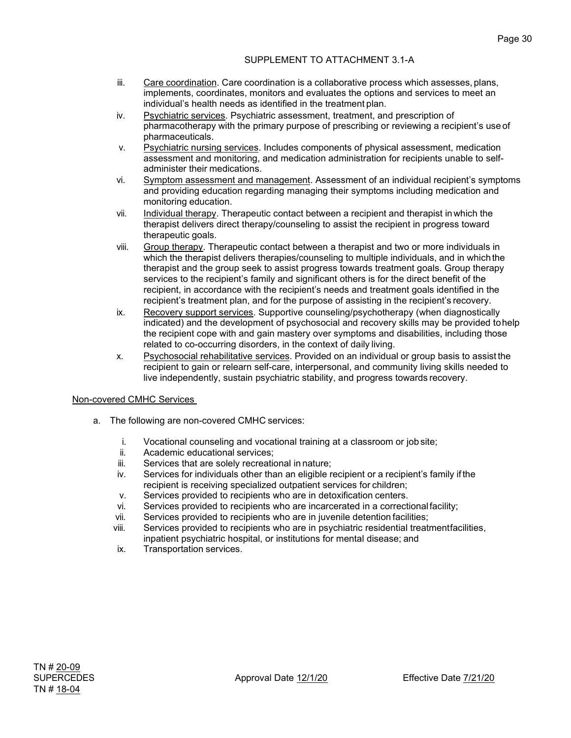### SUPPLEMENT TO ATTACHMENT 3.1-A

- iii. Care coordination. Care coordination is a collaborative process which assesses, plans, implements, coordinates, monitors and evaluates the options and services to meet an individual's health needs as identified in the treatment plan.
- iv. Psychiatric services. Psychiatric assessment, treatment, and prescription of pharmacotherapy with the primary purpose of prescribing or reviewing a recipient's use of pharmaceuticals.
- v. Psychiatric nursing services. Includes components of physical assessment, medication assessment and monitoring, and medication administration for recipients unable to selfadminister their medications.
- vi. Symptom assessment and management. Assessment of an individual recipient's symptoms and providing education regarding managing their symptoms including medication and monitoring education.
- vii. Individual therapy. Therapeutic contact between a recipient and therapist inwhich the therapist delivers direct therapy/counseling to assist the recipient in progress toward therapeutic goals.
- viii. Group therapy. Therapeutic contact between a therapist and two or more individuals in which the therapist delivers therapies/counseling to multiple individuals, and in which the therapist and the group seek to assist progress towards treatment goals. Group therapy services to the recipient's family and significant others is for the direct benefit of the recipient, in accordance with the recipient's needs and treatment goals identified in the recipient's treatment plan, and for the purpose of assisting in the recipient's recovery.
- ix. Recovery support services. Supportive counseling/psychotherapy (when diagnostically indicated) and the development of psychosocial and recovery skills may be provided tohelp the recipient cope with and gain mastery over symptoms and disabilities, including those related to co-occurring disorders, in the context of daily living.
- x. Psychosocial rehabilitative services. Provided on an individual or group basis to assist the recipient to gain or relearn self-care, interpersonal, and community living skills needed to live independently, sustain psychiatric stability, and progress towards recovery.

## Non-covered CMHC Services

- a. The following are non-covered CMHC services:
	- i. Vocational counseling and vocational training at a classroom or job site;
	- Academic educational services:
	- iii. Services that are solely recreational in nature;
	- iv. Services for individuals other than an eligible recipient or a recipient's family if the recipient is receiving specialized outpatient services for children;
	- v. Services provided to recipients who are in detoxification centers.
	- vi. Services provided to recipients who are incarcerated in a correctional facility;<br>vii. Services provided to recipients who are in iuvenile detention facilities:
	- Services provided to recipients who are in juvenile detention facilities;
	- viii. Services provided to recipients who are in psychiatric residential treatmentfacilities, inpatient psychiatric hospital, or institutions for mental disease; and
	- ix. Transportation services.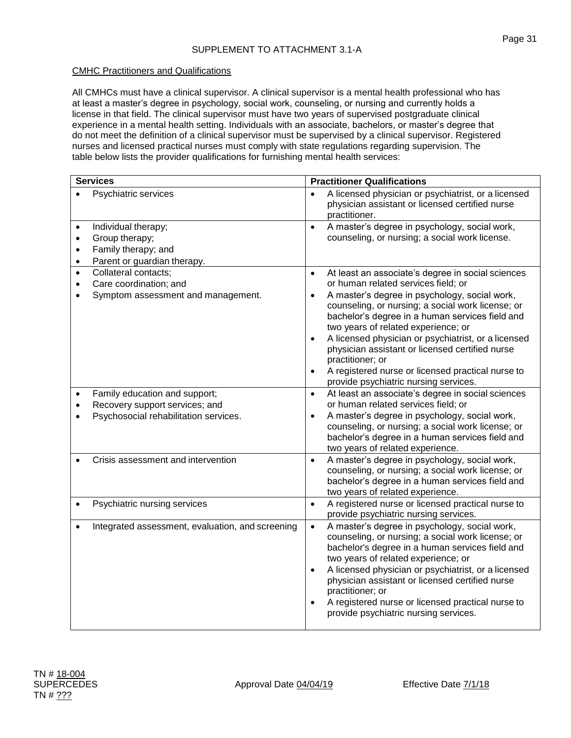## CMHC Practitioners and Qualifications

All CMHCs must have a clinical supervisor. A clinical supervisor is a mental health professional who has at least a master's degree in psychology, social work, counseling, or nursing and currently holds a license in that field. The clinical supervisor must have two years of supervised postgraduate clinical experience in a mental health setting. Individuals with an associate, bachelors, or master's degree that do not meet the definition of a clinical supervisor must be supervised by a clinical supervisor. Registered nurses and licensed practical nurses must comply with state regulations regarding supervision. The table below lists the provider qualifications for furnishing mental health services:

| <b>Services</b> |                                                  | <b>Practitioner Qualifications</b>  |                                                                                                                                                                                                                                                                                                                                                                                                                          |  |
|-----------------|--------------------------------------------------|-------------------------------------|--------------------------------------------------------------------------------------------------------------------------------------------------------------------------------------------------------------------------------------------------------------------------------------------------------------------------------------------------------------------------------------------------------------------------|--|
|                 | Psychiatric services                             | $\bullet$                           | A licensed physician or psychiatrist, or a licensed<br>physician assistant or licensed certified nurse<br>practitioner.                                                                                                                                                                                                                                                                                                  |  |
| $\bullet$       | Individual therapy;                              | $\bullet$                           | A master's degree in psychology, social work,                                                                                                                                                                                                                                                                                                                                                                            |  |
| $\bullet$       | Group therapy;                                   |                                     | counseling, or nursing; a social work license.                                                                                                                                                                                                                                                                                                                                                                           |  |
| $\bullet$       | Family therapy; and                              |                                     |                                                                                                                                                                                                                                                                                                                                                                                                                          |  |
| $\bullet$       | Parent or guardian therapy.                      |                                     |                                                                                                                                                                                                                                                                                                                                                                                                                          |  |
| $\bullet$       | Collateral contacts;                             | $\bullet$                           | At least an associate's degree in social sciences                                                                                                                                                                                                                                                                                                                                                                        |  |
| $\bullet$       | Care coordination; and                           |                                     | or human related services field; or                                                                                                                                                                                                                                                                                                                                                                                      |  |
|                 | Symptom assessment and management.               | $\bullet$                           | A master's degree in psychology, social work,<br>counseling, or nursing; a social work license; or<br>bachelor's degree in a human services field and<br>two years of related experience; or                                                                                                                                                                                                                             |  |
|                 |                                                  | $\bullet$<br>$\bullet$              | A licensed physician or psychiatrist, or a licensed<br>physician assistant or licensed certified nurse<br>practitioner; or<br>A registered nurse or licensed practical nurse to<br>provide psychiatric nursing services.                                                                                                                                                                                                 |  |
| $\bullet$       | Family education and support;                    | $\bullet$                           | At least an associate's degree in social sciences                                                                                                                                                                                                                                                                                                                                                                        |  |
|                 | Recovery support services; and                   |                                     | or human related services field; or                                                                                                                                                                                                                                                                                                                                                                                      |  |
|                 | Psychosocial rehabilitation services.            | $\bullet$                           | A master's degree in psychology, social work,<br>counseling, or nursing; a social work license; or<br>bachelor's degree in a human services field and<br>two years of related experience.                                                                                                                                                                                                                                |  |
|                 | Crisis assessment and intervention               | $\bullet$                           | A master's degree in psychology, social work,<br>counseling, or nursing; a social work license; or<br>bachelor's degree in a human services field and<br>two years of related experience.                                                                                                                                                                                                                                |  |
| $\bullet$       | Psychiatric nursing services                     | $\bullet$                           | A registered nurse or licensed practical nurse to<br>provide psychiatric nursing services.                                                                                                                                                                                                                                                                                                                               |  |
| $\bullet$       | Integrated assessment, evaluation, and screening | $\bullet$<br>$\bullet$<br>$\bullet$ | A master's degree in psychology, social work,<br>counseling, or nursing; a social work license; or<br>bachelor's degree in a human services field and<br>two years of related experience; or<br>A licensed physician or psychiatrist, or a licensed<br>physician assistant or licensed certified nurse<br>practitioner; or<br>A registered nurse or licensed practical nurse to<br>provide psychiatric nursing services. |  |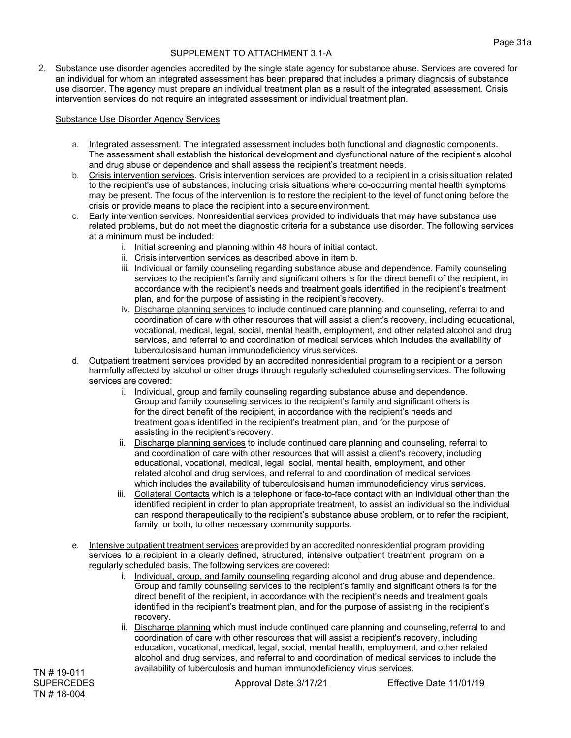2. Substance use disorder agencies accredited by the single state agency for substance abuse. Services are covered for an individual for whom an integrated assessment has been prepared that includes a primary diagnosis of substance use disorder. The agency must prepare an individual treatment plan as a result of the integrated assessment. Crisis intervention services do not require an integrated assessment or individual treatment plan.

#### Substance Use Disorder Agency Services

- a. Integrated assessment. The integrated assessment includes both functional and diagnostic components. The assessment shall establish the historical development and dysfunctional nature of the recipient's alcohol and drug abuse or dependence and shall assess the recipient's treatment needs.
- b. Crisis intervention services. Crisis intervention services are provided to a recipient in a crisissituation related to the recipient's use of substances, including crisis situations where co-occurring mental health symptoms may be present. The focus of the intervention is to restore the recipient to the level of functioning before the crisis or provide means to place the recipient into a secure environment.
- c. Early intervention services. Nonresidential services provided to individuals that may have substance use related problems, but do not meet the diagnostic criteria for a substance use disorder. The following services at a minimum must be included:
	- i. Initial screening and planning within 48 hours of initial contact.
	- ii. Crisis intervention services as described above in item b.
	- iii. Individual or family counseling regarding substance abuse and dependence. Family counseling services to the recipient's family and significant others is for the direct benefit of the recipient, in accordance with the recipient's needs and treatment goals identified in the recipient's treatment plan, and for the purpose of assisting in the recipient's recovery.
	- iv. Discharge planning services to include continued care planning and counseling, referral to and coordination of care with other resources that will assist a client's recovery, including educational, vocational, medical, legal, social, mental health, employment, and other related alcohol and drug services, and referral to and coordination of medical services which includes the availability of tuberculosisand human immunodeficiency virus services.
- d. Outpatient treatment services provided by an accredited nonresidential program to a recipient or a person harmfully affected by alcohol or other drugs through regularly scheduled counselingservices. The following services are covered:
	- i. Individual, group and family counseling regarding substance abuse and dependence. Group and family counseling services to the recipient's family and significant others is for the direct benefit of the recipient, in accordance with the recipient's needs and treatment goals identified in the recipient's treatment plan, and for the purpose of assisting in the recipient's recovery.
	- ii. Discharge planning services to include continued care planning and counseling, referral to and coordination of care with other resources that will assist a client's recovery, including educational, vocational, medical, legal, social, mental health, employment, and other related alcohol and drug services, and referral to and coordination of medical services which includes the availability of tuberculosisand human immunodeficiency virus services.
	- iii. Collateral Contacts which is a telephone or face-to-face contact with an individual other than the identified recipient in order to plan appropriate treatment, to assist an individual so the individual can respond therapeutically to the recipient's substance abuse problem, or to refer the recipient, family, or both, to other necessary community supports.
- e. Intensive outpatient treatment services are provided by an accredited nonresidential program providing services to a recipient in a clearly defined, structured, intensive outpatient treatment program on a regularly scheduled basis. The following services are covered:
	- i. Individual, group, and family counseling regarding alcohol and drug abuse and dependence. Group and family counseling services to the recipient's family and significant others is for the direct benefit of the recipient, in accordance with the recipient's needs and treatment goals identified in the recipient's treatment plan, and for the purpose of assisting in the recipient's recovery.
	- ii. Discharge planning which must include continued care planning and counseling,referral to and coordination of care with other resources that will assist a recipient's recovery, including education, vocational, medical, legal, social, mental health, employment, and other related alcohol and drug services, and referral to and coordination of medical services to include the availability of tuberculosis and human immunodeficiency virus services.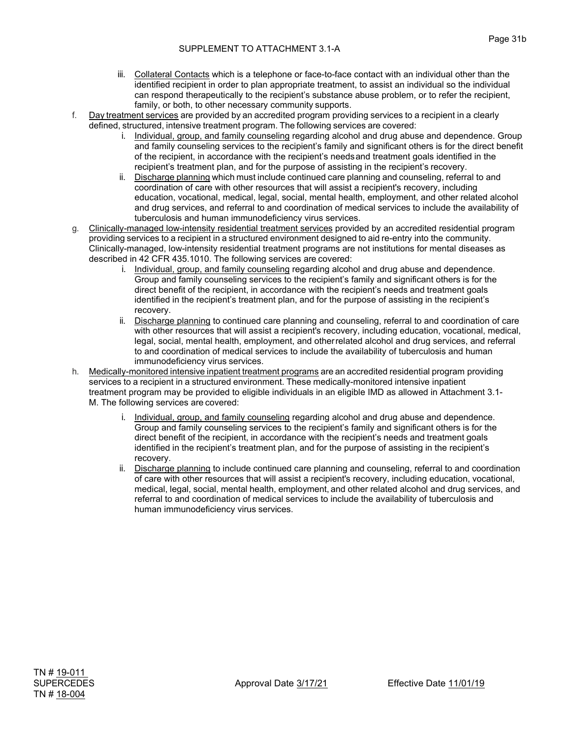- iii. Collateral Contacts which is a telephone or face-to-face contact with an individual other than the identified recipient in order to plan appropriate treatment, to assist an individual so the individual can respond therapeutically to the recipient's substance abuse problem, or to refer the recipient, family, or both, to other necessary community supports.
- f. Day treatment services are provided by an accredited program providing services to a recipient in a clearly defined, structured, intensive treatment program. The following services are covered:
	- i. Individual, group, and family counseling regarding alcohol and drug abuse and dependence. Group and family counseling services to the recipient's family and significant others is for the direct benefit of the recipient, in accordance with the recipient's needsand treatment goals identified in the recipient's treatment plan, and for the purpose of assisting in the recipient's recovery.
	- ii. Discharge planning which must include continued care planning and counseling, referral to and coordination of care with other resources that will assist a recipient's recovery, including education, vocational, medical, legal, social, mental health, employment, and other related alcohol and drug services, and referral to and coordination of medical services to include the availability of tuberculosis and human immunodeficiency virus services.
- g. Clinically-managed low-intensity residential treatment services provided by an accredited residential program providing services to a recipient in a structured environment designed to aid re-entry into the community. Clinically-managed, low-intensity residential treatment programs are not institutions for mental diseases as described in 42 CFR 435.1010. The following services are covered:
	- i. Individual, group, and family counseling regarding alcohol and drug abuse and dependence. Group and family counseling services to the recipient's family and significant others is for the direct benefit of the recipient, in accordance with the recipient's needs and treatment goals identified in the recipient's treatment plan, and for the purpose of assisting in the recipient's recovery.
	- ii. Discharge planning to continued care planning and counseling, referral to and coordination of care with other resources that will assist a recipient's recovery, including education, vocational, medical, legal, social, mental health, employment, and otherrelated alcohol and drug services, and referral to and coordination of medical services to include the availability of tuberculosis and human immunodeficiency virus services.
- h. Medically-monitored intensive inpatient treatment programs are an accredited residential program providing services to a recipient in a structured environment. These medically-monitored intensive inpatient treatment program may be provided to eligible individuals in an eligible IMD as allowed in Attachment 3.1- M. The following services are covered:
	- i. Individual, group, and family counseling regarding alcohol and drug abuse and dependence. Group and family counseling services to the recipient's family and significant others is for the direct benefit of the recipient, in accordance with the recipient's needs and treatment goals identified in the recipient's treatment plan, and for the purpose of assisting in the recipient's recovery.
	- ii. Discharge planning to include continued care planning and counseling, referral to and coordination of care with other resources that will assist a recipient's recovery, including education, vocational, medical, legal, social, mental health, employment, and other related alcohol and drug services, and referral to and coordination of medical services to include the availability of tuberculosis and human immunodeficiency virus services.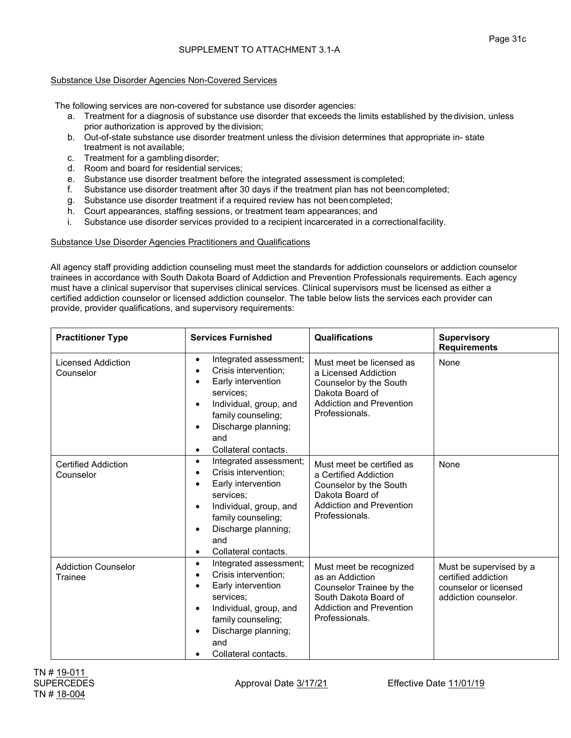## Substance Use Disorder Agencies Non-Covered Services

The following services are non-covered for substance use disorder agencies:

- a. Treatment for a diagnosis of substance use disorder that exceeds the limits established by the division, unless prior authorization is approved by the division;
- b. Out-of-state substance use disorder treatment unless the division determines that appropriate in- state treatment is not available;
- c. Treatment for a gambling disorder;
- d. Room and board for residential services;
- e. Substance use disorder treatment before the integrated assessment is completed;
- f. Substance use disorder treatment after 30 days if the treatment plan has not beencompleted;
- g. Substance use disorder treatment if a required review has not beencompleted;
- h. Court appearances, staffing sessions, or treatment team appearances; and
- i. Substance use disorder services provided to a recipient incarcerated in a correctionalfacility.

Substance Use Disorder Agencies Practitioners and Qualifications

All agency staff providing addiction counseling must meet the standards for addiction counselors or addiction counselor trainees in accordance with South Dakota Board of Addiction and Prevention Professionals requirements. Each agency must have a clinical supervisor that supervises clinical services. Clinical supervisors must be licensed as either a certified addiction counselor or licensed addiction counselor. The table below lists the services each provider can provide, provider qualifications, and supervisory requirements:

| <b>Practitioner Type</b>                | <b>Services Furnished</b>                                                                                                                                                                                         | Qualifications                                                                                                                                       | <b>Supervisory</b><br><b>Requirements</b>                                                       |
|-----------------------------------------|-------------------------------------------------------------------------------------------------------------------------------------------------------------------------------------------------------------------|------------------------------------------------------------------------------------------------------------------------------------------------------|-------------------------------------------------------------------------------------------------|
| <b>Licensed Addiction</b><br>Counselor  | Integrated assessment;<br>$\bullet$<br>Crisis intervention:<br>Early intervention<br>services:<br>Individual, group, and<br>family counseling;<br>Discharge planning;<br>and<br>Collateral contacts.<br>$\bullet$ | Must meet be licensed as<br>a Licensed Addiction<br>Counselor by the South<br>Dakota Board of<br><b>Addiction and Prevention</b><br>Professionals.   | None                                                                                            |
| <b>Certified Addiction</b><br>Counselor | Integrated assessment;<br>$\bullet$<br>Crisis intervention;<br>Early intervention<br>services:<br>Individual, group, and<br>family counseling;<br>Discharge planning;<br>and<br>Collateral contacts.<br>$\bullet$ | Must meet be certified as<br>a Certified Addiction<br>Counselor by the South<br>Dakota Board of<br><b>Addiction and Prevention</b><br>Professionals. | None                                                                                            |
| <b>Addiction Counselor</b><br>Trainee   | Integrated assessment;<br>$\bullet$<br>Crisis intervention;<br>Early intervention<br>services:<br>Individual, group, and<br>$\bullet$<br>family counseling;<br>Discharge planning;<br>and<br>Collateral contacts. | Must meet be recognized<br>as an Addiction<br>Counselor Trainee by the<br>South Dakota Board of<br><b>Addiction and Prevention</b><br>Professionals. | Must be supervised by a<br>certified addiction<br>counselor or licensed<br>addiction counselor. |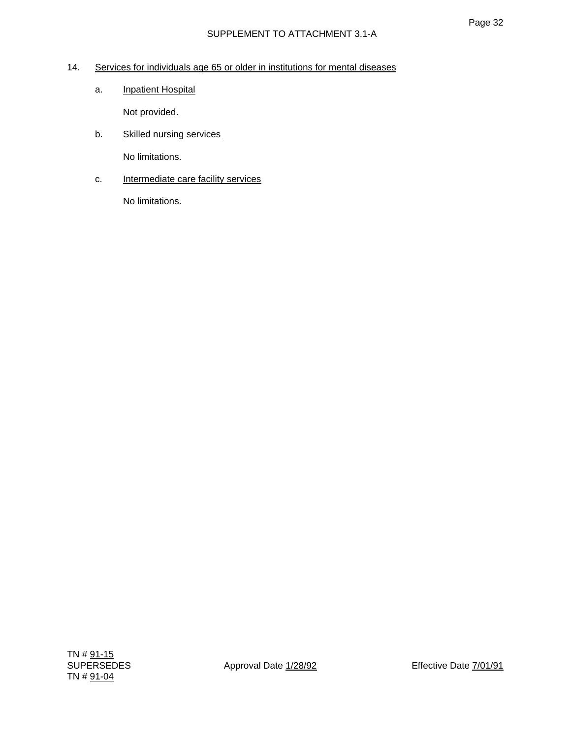# 14. Services for individuals age 65 or older in institutions for mental diseases

a. Inpatient Hospital

Not provided.

b. Skilled nursing services

No limitations.

c. **Intermediate care facility services**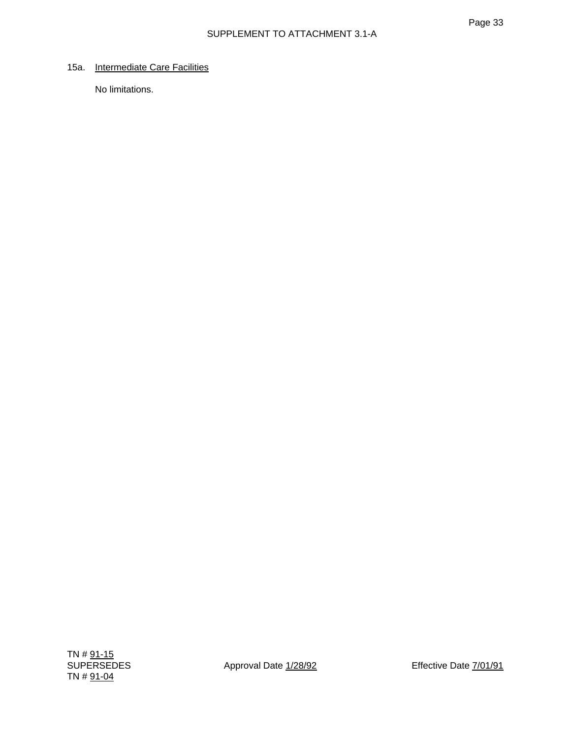## 15a. Intermediate Care Facilities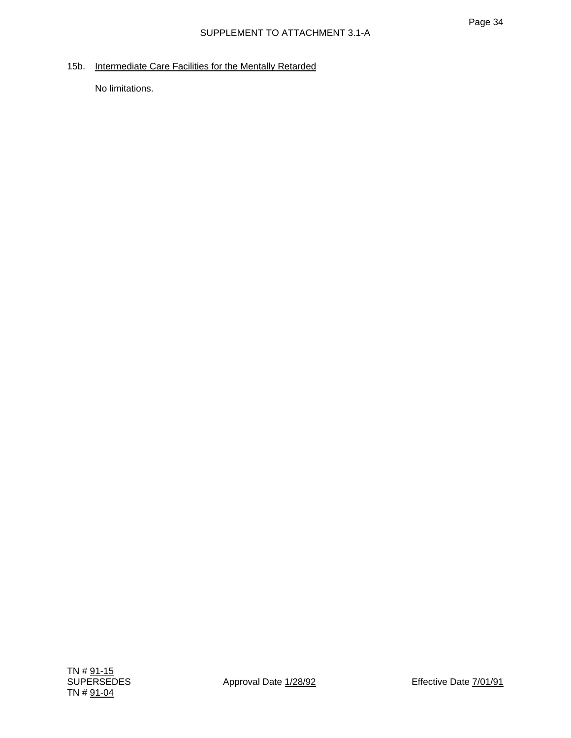15b. Intermediate Care Facilities for the Mentally Retarded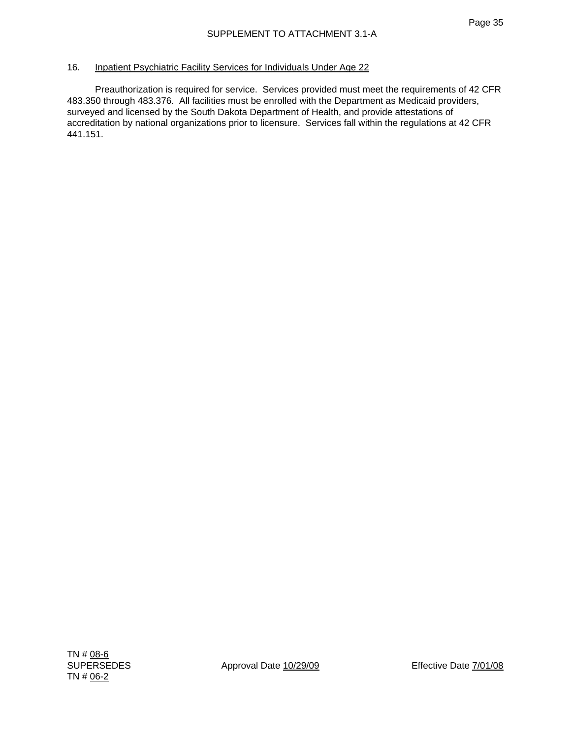### 16. Inpatient Psychiatric Facility Services for Individuals Under Age 22

 Preauthorization is required for service. Services provided must meet the requirements of 42 CFR 483.350 through 483.376. All facilities must be enrolled with the Department as Medicaid providers, surveyed and licensed by the South Dakota Department of Health, and provide attestations of accreditation by national organizations prior to licensure. Services fall within the regulations at 42 CFR 441.151.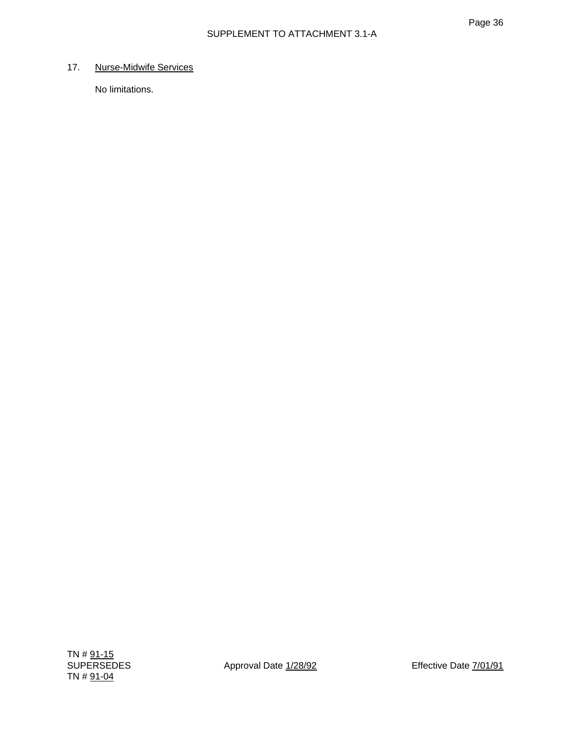# 17. Nurse-Midwife Services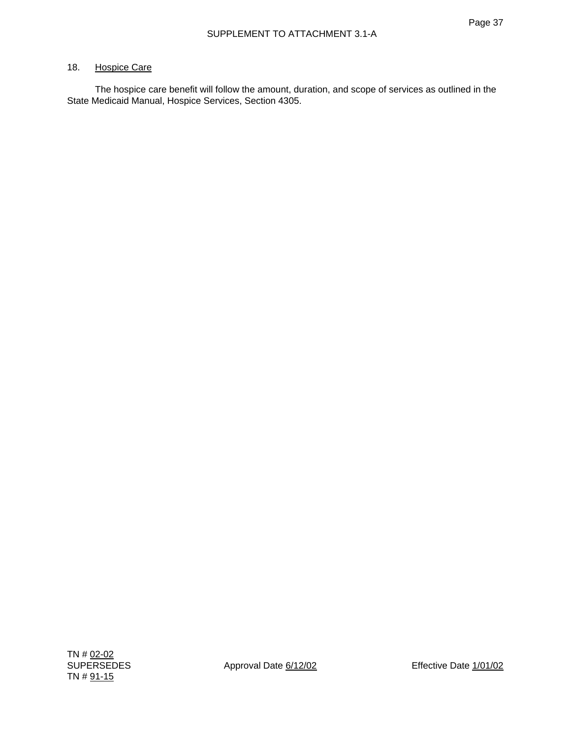#### 18. Hospice Care

 The hospice care benefit will follow the amount, duration, and scope of services as outlined in the State Medicaid Manual, Hospice Services, Section 4305.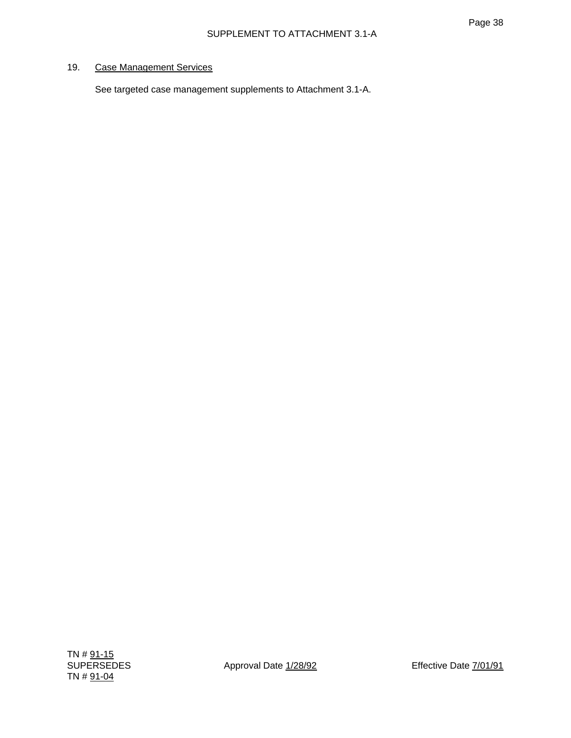# 19. Case Management Services

See targeted case management supplements to Attachment 3.1-A.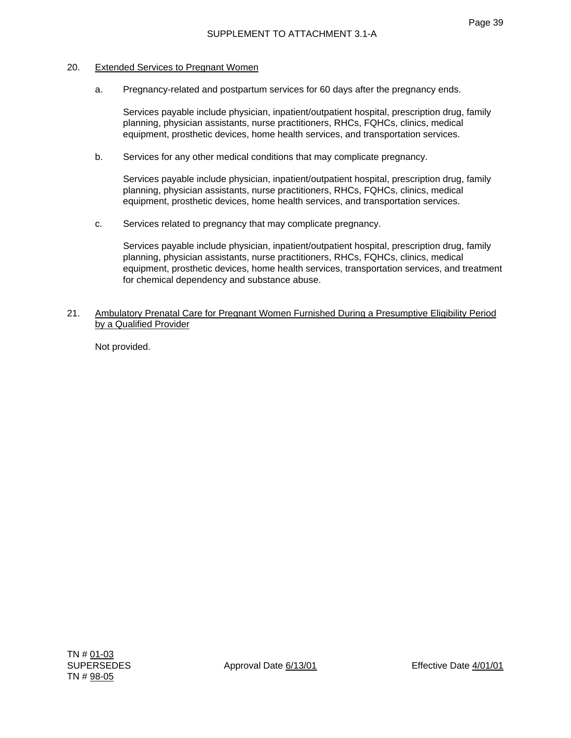#### 20. Extended Services to Pregnant Women

a. Pregnancy-related and postpartum services for 60 days after the pregnancy ends.

 Services payable include physician, inpatient/outpatient hospital, prescription drug, family planning, physician assistants, nurse practitioners, RHCs, FQHCs, clinics, medical equipment, prosthetic devices, home health services, and transportation services.

b. Services for any other medical conditions that may complicate pregnancy.

 Services payable include physician, inpatient/outpatient hospital, prescription drug, family planning, physician assistants, nurse practitioners, RHCs, FQHCs, clinics, medical equipment, prosthetic devices, home health services, and transportation services.

c. Services related to pregnancy that may complicate pregnancy.

 Services payable include physician, inpatient/outpatient hospital, prescription drug, family planning, physician assistants, nurse practitioners, RHCs, FQHCs, clinics, medical equipment, prosthetic devices, home health services, transportation services, and treatment for chemical dependency and substance abuse.

21. Ambulatory Prenatal Care for Pregnant Women Furnished During a Presumptive Eligibility Period by a Qualified Provider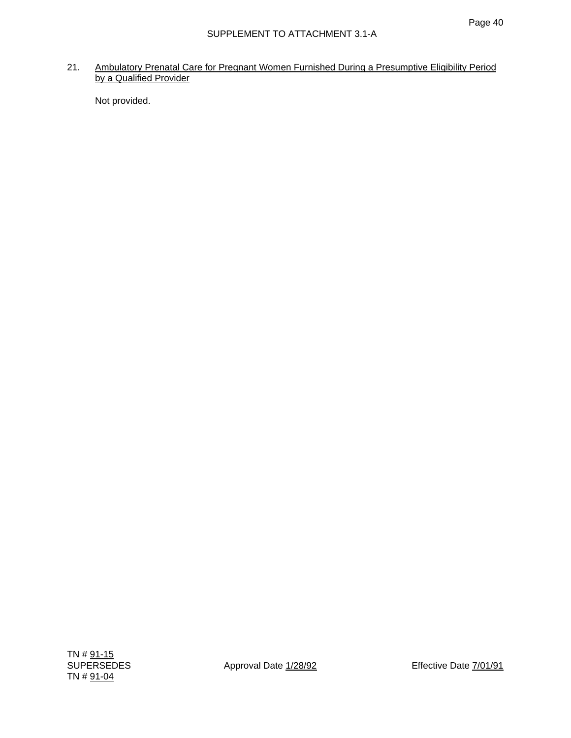21. Ambulatory Prenatal Care for Pregnant Women Furnished During a Presumptive Eligibility Period by a Qualified Provider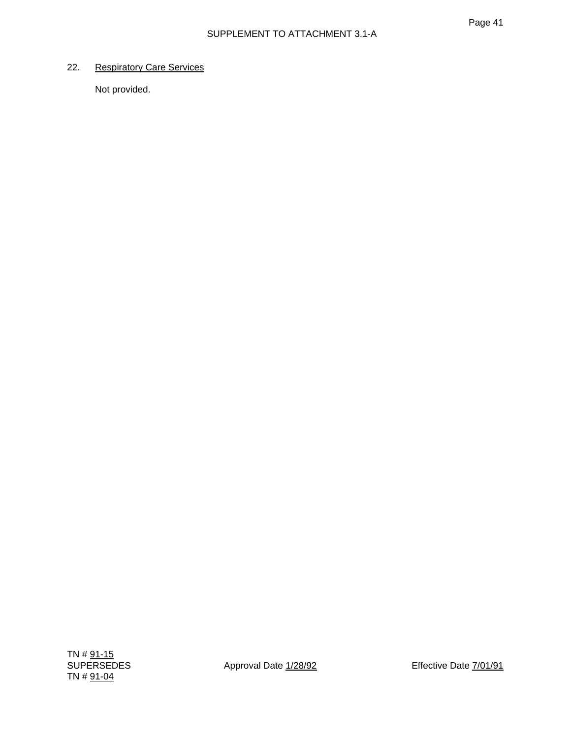# 22. Respiratory Care Services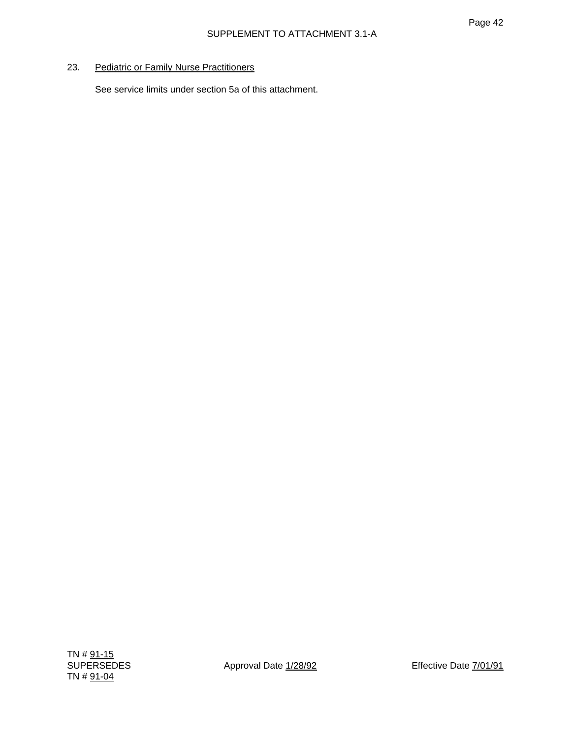# 23. Pediatric or Family Nurse Practitioners

See service limits under section 5a of this attachment.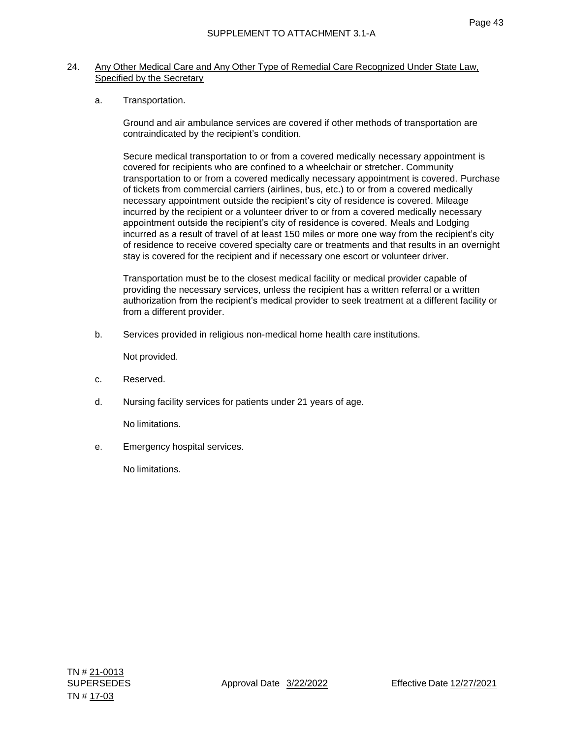#### 24. Any Other Medical Care and Any Other Type of Remedial Care Recognized Under State Law, Specified by the Secretary

a. Transportation.

Ground and air ambulance services are covered if other methods of transportation are contraindicated by the recipient's condition.

Secure medical transportation to or from a covered medically necessary appointment is covered for recipients who are confined to a wheelchair or stretcher. Community transportation to or from a covered medically necessary appointment is covered. Purchase of tickets from commercial carriers (airlines, bus, etc.) to or from a covered medically necessary appointment outside the recipient's city of residence is covered. Mileage incurred by the recipient or a volunteer driver to or from a covered medically necessary appointment outside the recipient's city of residence is covered. Meals and Lodging incurred as a result of travel of at least 150 miles or more one way from the recipient's city of residence to receive covered specialty care or treatments and that results in an overnight stay is covered for the recipient and if necessary one escort or volunteer driver.

Transportation must be to the closest medical facility or medical provider capable of providing the necessary services, unless the recipient has a written referral or a written authorization from the recipient's medical provider to seek treatment at a different facility or from a different provider.

b. Services provided in religious non-medical home health care institutions.

Not provided.

- c. Reserved.
- d. Nursing facility services for patients under 21 years of age.

No limitations.

e. Emergency hospital services.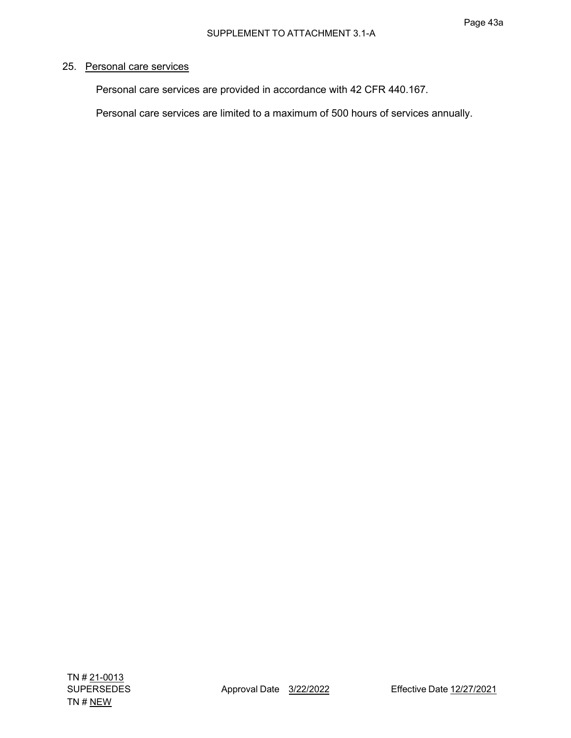# 25. Personal care services

Personal care services are provided in accordance with 42 CFR 440.167.

Personal care services are limited to a maximum of 500 hours of services annually.